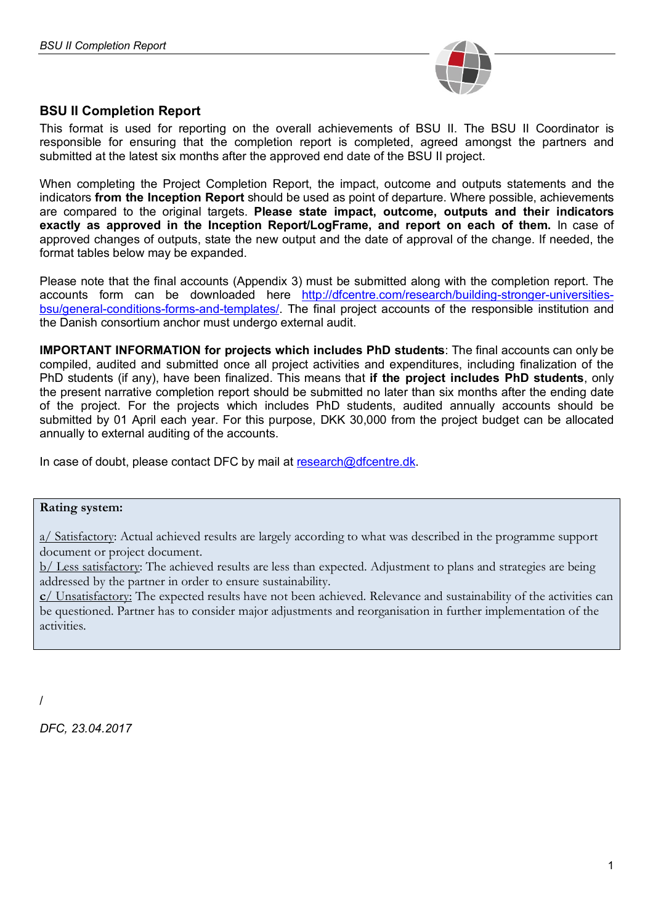

This format is used for reporting on the overall achievements of BSU II. The BSU II Coordinator is responsible for ensuring that the completion report is completed, agreed amongst the partners and submitted at the latest six months after the approved end date of the BSU II project.

When completing the Project Completion Report, the impact, outcome and outputs statements and the indicators **from the Inception Report** should be used as point of departure. Where possible, achievements are compared to the original targets. **Please state impact, outcome, outputs and their indicators exactly as approved in the Inception Report/LogFrame, and report on each of them.** In case of approved changes of outputs, state the new output and the date of approval of the change. If needed, the format tables below may be expanded.

Please note that the final accounts (Appendix 3) must be submitted along with the completion report. The accounts form can be downloaded here http://dfcentre.com/research/building-stronger-universitiesbsu/general-conditions-forms-and-templates/. The final project accounts of the responsible institution and the Danish consortium anchor must undergo external audit.

**IMPORTANT INFORMATION for projects which includes PhD students**: The final accounts can only be compiled, audited and submitted once all project activities and expenditures, including finalization of the PhD students (if any), have been finalized. This means that **if the project includes PhD students**, only the present narrative completion report should be submitted no later than six months after the ending date of the project. For the projects which includes PhD students, audited annually accounts should be submitted by 01 April each year. For this purpose, DKK 30,000 from the project budget can be allocated annually to external auditing of the accounts.

In case of doubt, please contact DFC by mail at research@dfcentre.dk.

### **Rating system:**

a/ Satisfactory: Actual achieved results are largely according to what was described in the programme support document or project document.

b/ Less satisfactory: The achieved results are less than expected. Adjustment to plans and strategies are being addressed by the partner in order to ensure sustainability.

**c**/ Unsatisfactory: The expected results have not been achieved. Relevance and sustainability of the activities can be questioned. Partner has to consider major adjustments and reorganisation in further implementation of the activities.

*DFC, 23.04.2017*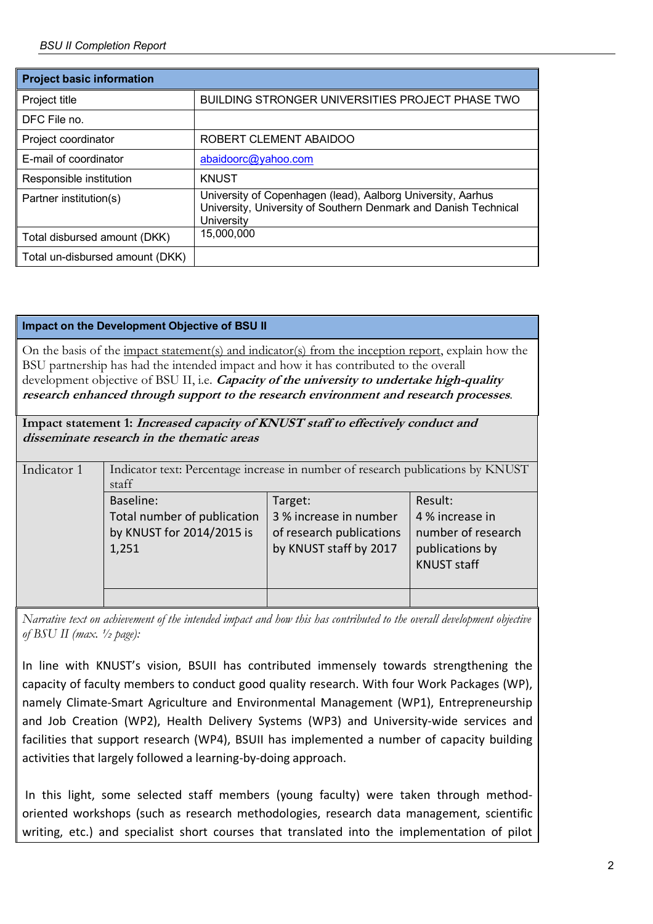| <b>Project basic information</b> |                                                                                                                                              |
|----------------------------------|----------------------------------------------------------------------------------------------------------------------------------------------|
| Project title                    | <b>BUILDING STRONGER UNIVERSITIES PROJECT PHASE TWO</b>                                                                                      |
| DFC File no.                     |                                                                                                                                              |
| Project coordinator              | ROBERT CLEMENT ABAIDOO                                                                                                                       |
| E-mail of coordinator            | abaidoorc@yahoo.com                                                                                                                          |
| Responsible institution          | <b>KNUST</b>                                                                                                                                 |
| Partner institution(s)           | University of Copenhagen (lead), Aalborg University, Aarhus<br>University, University of Southern Denmark and Danish Technical<br>University |
| Total disbursed amount (DKK)     | 15,000,000                                                                                                                                   |
| Total un-disbursed amount (DKK)  |                                                                                                                                              |

### **Impact on the Development Objective of BSU II**

On the basis of the <u>impact statement(s)</u> and indicator(s) from the inception report, explain how the BSU partnership has had the intended impact and how it has contributed to the overall development objective of BSU II, i.e. **Capacity of the university to undertake high-quality research enhanced through support to the research environment and research processes**.

**Impact statement 1: Increased capacity of KNUST staff to effectively conduct and disseminate research in the thematic areas**

| Indicator 1 | Indicator text: Percentage increase in number of research publications by KNUST<br>staff |                                                                                         |                                                                                           |
|-------------|------------------------------------------------------------------------------------------|-----------------------------------------------------------------------------------------|-------------------------------------------------------------------------------------------|
|             | Baseline:<br>Total number of publication<br>by KNUST for 2014/2015 is<br>1,251           | Target:<br>3 % increase in number<br>of research publications<br>by KNUST staff by 2017 | Result:<br>4 % increase in<br>number of research<br>publications by<br><b>KNUST staff</b> |
|             |                                                                                          |                                                                                         |                                                                                           |

*Narrative text on achievement of the intended impact and how this has contributed to the overall development objective of BSU II (max. ½ page):*

In line with KNUST's vision, BSUII has contributed immensely towards strengthening the capacity of faculty members to conduct good quality research. With four Work Packages (WP), namely Climate-Smart Agriculture and Environmental Management (WP1), Entrepreneurship and Job Creation (WP2), Health Delivery Systems (WP3) and University-wide services and facilities that support research (WP4), BSUII has implemented a number of capacity building activities that largely followed a learning-by-doing approach.

In this light, some selected staff members (young faculty) were taken through methodoriented workshops (such as research methodologies, research data management, scientific writing, etc.) and specialist short courses that translated into the implementation of pilot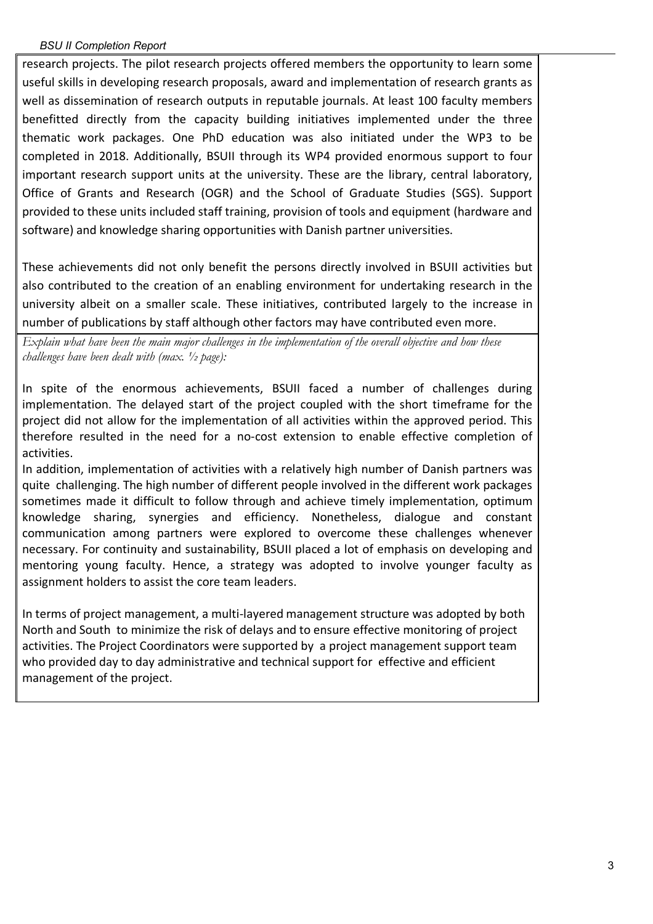research projects. The pilot research projects offered members the opportunity to learn some useful skills in developing research proposals, award and implementation of research grants as well as dissemination of research outputs in reputable journals. At least 100 faculty members benefitted directly from the capacity building initiatives implemented under the three thematic work packages. One PhD education was also initiated under the WP3 to be completed in 2018. Additionally, BSUII through its WP4 provided enormous support to four important research support units at the university. These are the library, central laboratory, Office of Grants and Research (OGR) and the School of Graduate Studies (SGS). Support provided to these units included staff training, provision of tools and equipment (hardware and software) and knowledge sharing opportunities with Danish partner universities.

These achievements did not only benefit the persons directly involved in BSUII activities but also contributed to the creation of an enabling environment for undertaking research in the university albeit on a smaller scale. These initiatives, contributed largely to the increase in number of publications by staff although other factors may have contributed even more.

*Explain what have been the main major challenges in the implementation of the overall objective and how these challenges have been dealt with (max. ½ page):* 

In spite of the enormous achievements, BSUII faced a number of challenges during implementation. The delayed start of the project coupled with the short timeframe for the project did not allow for the implementation of all activities within the approved period. This therefore resulted in the need for a no-cost extension to enable effective completion of activities.

In addition, implementation of activities with a relatively high number of Danish partners was quite challenging. The high number of different people involved in the different work packages sometimes made it difficult to follow through and achieve timely implementation, optimum knowledge sharing, synergies and efficiency. Nonetheless, dialogue and constant communication among partners were explored to overcome these challenges whenever necessary. For continuity and sustainability, BSUII placed a lot of emphasis on developing and mentoring young faculty. Hence, a strategy was adopted to involve younger faculty as assignment holders to assist the core team leaders.

In terms of project management, a multi-layered management structure was adopted by both North and South to minimize the risk of delays and to ensure effective monitoring of project activities. The Project Coordinators were supported by a project management support team who provided day to day administrative and technical support for effective and efficient management of the project.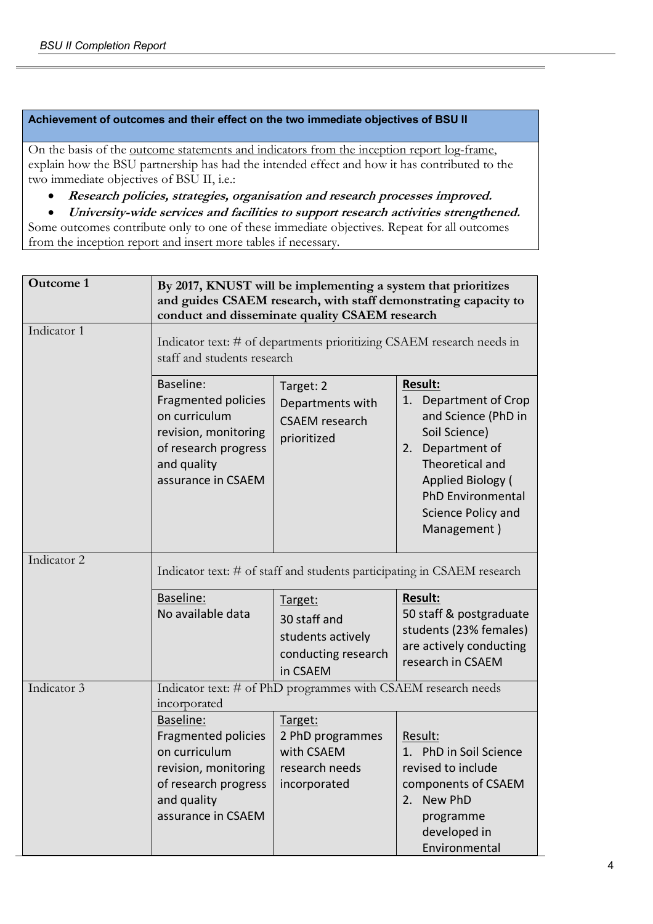#### **Achievement of outcomes and their effect on the two immediate objectives of BSU II**

On the basis of the outcome statements and indicators from the inception report log-frame, explain how the BSU partnership has had the intended effect and how it has contributed to the two immediate objectives of BSU II, i.e.:

- **Research policies, strategies, organisation and research processes improved.**
- **University-wide services and facilities to support research activities strengthened.**

Some outcomes contribute only to one of these immediate objectives. Repeat for all outcomes from the inception report and insert more tables if necessary.

| <b>Outcome 1</b> | By 2017, KNUST will be implementing a system that prioritizes<br>and guides CSAEM research, with staff demonstrating capacity to<br>conduct and disseminate quality CSAEM research |                                                                                 |                                                                                                                                                                                                                        |
|------------------|------------------------------------------------------------------------------------------------------------------------------------------------------------------------------------|---------------------------------------------------------------------------------|------------------------------------------------------------------------------------------------------------------------------------------------------------------------------------------------------------------------|
| Indicator 1      | Indicator text: # of departments prioritizing CSAEM research needs in<br>staff and students research                                                                               |                                                                                 |                                                                                                                                                                                                                        |
|                  | Baseline:<br><b>Fragmented policies</b><br>on curriculum<br>revision, monitoring<br>of research progress<br>and quality<br>assurance in CSAEM                                      | Target: 2<br>Departments with<br><b>CSAEM</b> research<br>prioritized           | <b>Result:</b><br>1. Department of Crop<br>and Science (PhD in<br>Soil Science)<br>Department of<br>2.<br>Theoretical and<br><b>Applied Biology (</b><br><b>PhD Environmental</b><br>Science Policy and<br>Management) |
| Indicator 2      |                                                                                                                                                                                    |                                                                                 | Indicator text: # of staff and students participating in CSAEM research                                                                                                                                                |
|                  | Baseline:<br>No available data                                                                                                                                                     | Target:<br>30 staff and<br>students actively<br>conducting research<br>in CSAEM | <b>Result:</b><br>50 staff & postgraduate<br>students (23% females)<br>are actively conducting<br>research in CSAEM                                                                                                    |
| Indicator 3      | incorporated                                                                                                                                                                       | Indicator text: # of PhD programmes with CSAEM research needs                   |                                                                                                                                                                                                                        |
|                  | Baseline:<br>Fragmented policies<br>on curriculum<br>revision, monitoring   research needs<br>of research progress<br>and quality<br>assurance in CSAEM                            | Target:<br>2 PhD programmes<br>with CSAEM<br>incorporated                       | Result:<br>1. PhD in Soil Science<br>revised to include<br>components of CSAEM<br>2. New PhD<br>programme<br>developed in<br>Environmental                                                                             |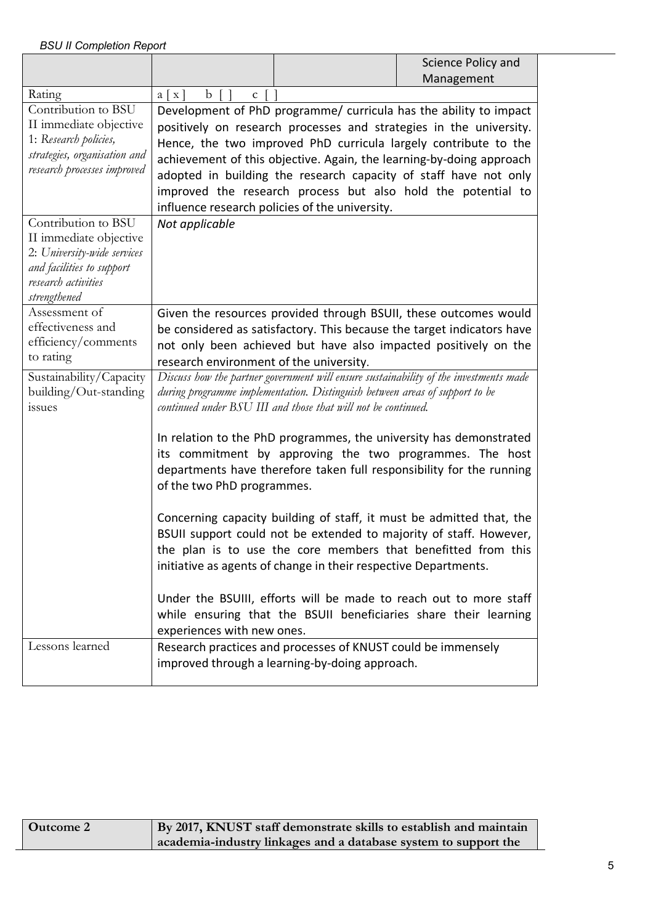|                                                                                                                                                  |                                         |                                                                                                                                              | Science Policy and                                                                                                                                                                                                                                                                                                                                                                                                     |
|--------------------------------------------------------------------------------------------------------------------------------------------------|-----------------------------------------|----------------------------------------------------------------------------------------------------------------------------------------------|------------------------------------------------------------------------------------------------------------------------------------------------------------------------------------------------------------------------------------------------------------------------------------------------------------------------------------------------------------------------------------------------------------------------|
|                                                                                                                                                  |                                         |                                                                                                                                              | Management                                                                                                                                                                                                                                                                                                                                                                                                             |
| Rating                                                                                                                                           | b<br>$a \mid x$<br>$\mathbf{C}$         |                                                                                                                                              |                                                                                                                                                                                                                                                                                                                                                                                                                        |
| Contribution to BSU<br>II immediate objective<br>1: Research policies,<br>strategies, organisation and<br>research processes improved            |                                         | influence research policies of the university.                                                                                               | Development of PhD programme/ curricula has the ability to impact<br>positively on research processes and strategies in the university.<br>Hence, the two improved PhD curricula largely contribute to the<br>achievement of this objective. Again, the learning-by-doing approach<br>adopted in building the research capacity of staff have not only<br>improved the research process but also hold the potential to |
| Contribution to BSU<br>II immediate objective<br>2: University-wide services<br>and facilities to support<br>research activities<br>strengthened | Not applicable                          |                                                                                                                                              |                                                                                                                                                                                                                                                                                                                                                                                                                        |
| Assessment of<br>effectiveness and<br>efficiency/comments<br>to rating                                                                           | research environment of the university. |                                                                                                                                              | Given the resources provided through BSUII, these outcomes would<br>be considered as satisfactory. This because the target indicators have<br>not only been achieved but have also impacted positively on the                                                                                                                                                                                                          |
| Sustainability/Capacity<br>building/Out-standing<br>issues                                                                                       |                                         | during programme implementation. Distinguish between areas of support to be<br>continued under BSU III and those that will not be continued. | Discuss how the partner government will ensure sustainability of the investments made                                                                                                                                                                                                                                                                                                                                  |
|                                                                                                                                                  | of the two PhD programmes.              |                                                                                                                                              | In relation to the PhD programmes, the university has demonstrated<br>its commitment by approving the two programmes. The host<br>departments have therefore taken full responsibility for the running                                                                                                                                                                                                                 |
|                                                                                                                                                  |                                         | initiative as agents of change in their respective Departments.                                                                              | Concerning capacity building of staff, it must be admitted that, the<br>BSUII support could not be extended to majority of staff. However,<br>the plan is to use the core members that benefitted from this                                                                                                                                                                                                            |
|                                                                                                                                                  | experiences with new ones.              |                                                                                                                                              | Under the BSUIII, efforts will be made to reach out to more staff<br>while ensuring that the BSUII beneficiaries share their learning                                                                                                                                                                                                                                                                                  |
| Lessons learned                                                                                                                                  |                                         | Research practices and processes of KNUST could be immensely<br>improved through a learning-by-doing approach.                               |                                                                                                                                                                                                                                                                                                                                                                                                                        |

| <b>Outcome 2</b> | By 2017, KNUST staff demonstrate skills to establish and maintain |
|------------------|-------------------------------------------------------------------|
|                  | academia-industry linkages and a database system to support the   |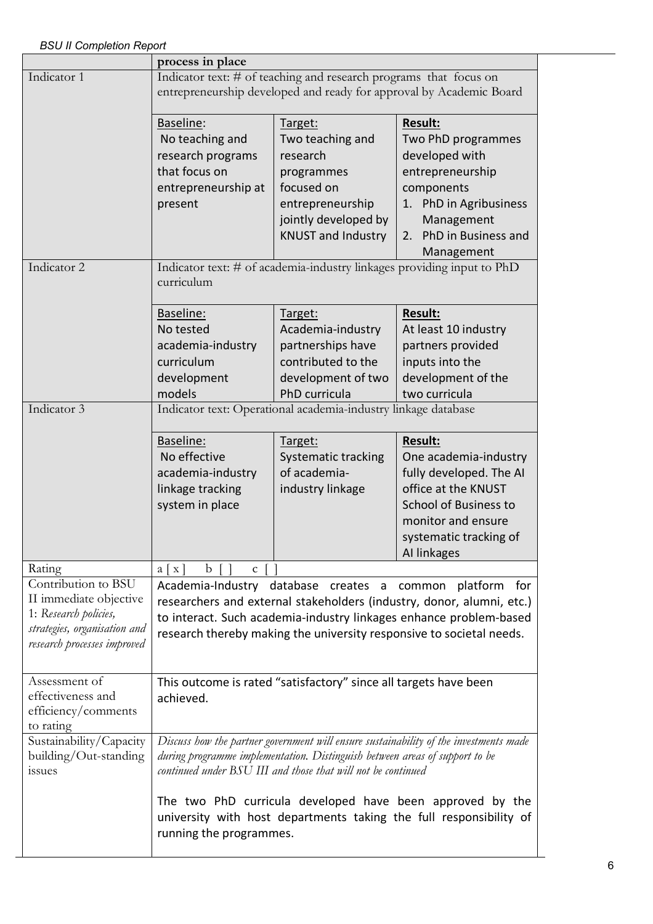|                                                                                                                                       | process in place                                                                                                                                                                                                                                                                      |                                                                                                                                              |                                                                                                                                                                                          |
|---------------------------------------------------------------------------------------------------------------------------------------|---------------------------------------------------------------------------------------------------------------------------------------------------------------------------------------------------------------------------------------------------------------------------------------|----------------------------------------------------------------------------------------------------------------------------------------------|------------------------------------------------------------------------------------------------------------------------------------------------------------------------------------------|
| Indicator 1                                                                                                                           | Indicator text: # of teaching and research programs that focus on<br>entrepreneurship developed and ready for approval by Academic Board                                                                                                                                              |                                                                                                                                              |                                                                                                                                                                                          |
|                                                                                                                                       | Baseline:<br>No teaching and<br>research programs<br>that focus on<br>entrepreneurship at<br>present                                                                                                                                                                                  | Target:<br>Two teaching and<br>research<br>programmes<br>focused on<br>entrepreneurship<br>jointly developed by<br><b>KNUST and Industry</b> | <b>Result:</b><br>Two PhD programmes<br>developed with<br>entrepreneurship<br>components<br>1. PhD in Agribusiness<br>Management<br>PhD in Business and<br>2.<br>Management              |
| Indicator 2                                                                                                                           | curriculum                                                                                                                                                                                                                                                                            |                                                                                                                                              | Indicator text: # of academia-industry linkages providing input to PhD                                                                                                                   |
|                                                                                                                                       | Baseline:<br>No tested<br>academia-industry<br>curriculum<br>development<br>models                                                                                                                                                                                                    | Target:<br>Academia-industry<br>partnerships have<br>contributed to the<br>development of two<br>PhD curricula                               | Result:<br>At least 10 industry<br>partners provided<br>inputs into the<br>development of the<br>two curricula                                                                           |
| Indicator 3                                                                                                                           | Indicator text: Operational academia-industry linkage database                                                                                                                                                                                                                        |                                                                                                                                              |                                                                                                                                                                                          |
|                                                                                                                                       | Baseline:<br>No effective<br>academia-industry<br>linkage tracking<br>system in place                                                                                                                                                                                                 | Target:<br><b>Systematic tracking</b><br>of academia-<br>industry linkage                                                                    | <b>Result:</b><br>One academia-industry<br>fully developed. The AI<br>office at the KNUST<br><b>School of Business to</b><br>monitor and ensure<br>systematic tracking of<br>Al linkages |
| Rating                                                                                                                                | b<br>$a \mid x$<br>$\mathbf{C}$                                                                                                                                                                                                                                                       |                                                                                                                                              |                                                                                                                                                                                          |
| Contribution to BSU<br>II immediate objective<br>1: Research policies,<br>strategies, organisation and<br>research processes improved | Academia-Industry database creates a common<br>platform<br>for<br>researchers and external stakeholders (industry, donor, alumni, etc.)<br>to interact. Such academia-industry linkages enhance problem-based<br>research thereby making the university responsive to societal needs. |                                                                                                                                              |                                                                                                                                                                                          |
| Assessment of<br>effectiveness and<br>efficiency/comments<br>to rating                                                                | This outcome is rated "satisfactory" since all targets have been<br>achieved.                                                                                                                                                                                                         |                                                                                                                                              |                                                                                                                                                                                          |
| Sustainability/Capacity<br>building/Out-standing<br>issues                                                                            |                                                                                                                                                                                                                                                                                       | during programme implementation. Distinguish between areas of support to be<br>continued under BSU III and those that will not be continued  | Discuss how the partner government will ensure sustainability of the investments made                                                                                                    |
|                                                                                                                                       | running the programmes.                                                                                                                                                                                                                                                               |                                                                                                                                              | The two PhD curricula developed have been approved by the<br>university with host departments taking the full responsibility of                                                          |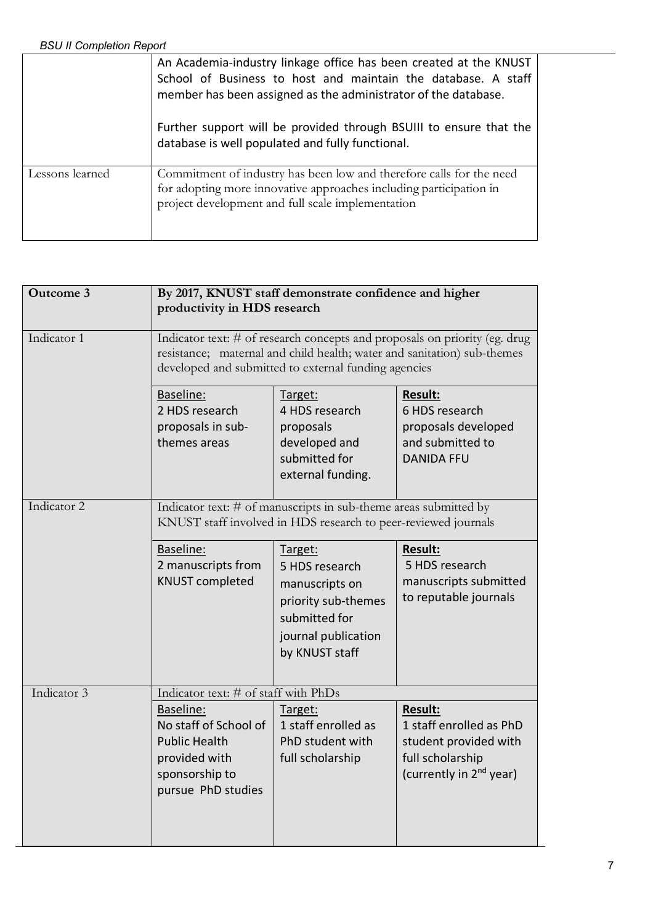|                 | An Academia-industry linkage office has been created at the KNUST<br>School of Business to host and maintain the database. A staff<br>member has been assigned as the administrator of the database. |
|-----------------|------------------------------------------------------------------------------------------------------------------------------------------------------------------------------------------------------|
|                 | Further support will be provided through BSUIII to ensure that the<br>database is well populated and fully functional.                                                                               |
| Lessons learned | Commitment of industry has been low and therefore calls for the need<br>for adopting more innovative approaches including participation in<br>project development and full scale implementation      |

| <b>Outcome 3</b> | By 2017, KNUST staff demonstrate confidence and higher<br>productivity in HDS research                                                                                                                        |                                                                                                                              |                                                                                                                        |
|------------------|---------------------------------------------------------------------------------------------------------------------------------------------------------------------------------------------------------------|------------------------------------------------------------------------------------------------------------------------------|------------------------------------------------------------------------------------------------------------------------|
| Indicator 1      | Indicator text: # of research concepts and proposals on priority (eg. drug<br>resistance; maternal and child health; water and sanitation) sub-themes<br>developed and submitted to external funding agencies |                                                                                                                              |                                                                                                                        |
|                  | Baseline:<br>2 HDS research<br>proposals in sub-<br>themes areas                                                                                                                                              | Target:<br>4 HDS research<br>proposals<br>developed and<br>submitted for<br>external funding.                                | Result:<br>6 HDS research<br>proposals developed<br>and submitted to<br><b>DANIDA FFU</b>                              |
| Indicator 2      | Indicator text: # of manuscripts in sub-theme areas submitted by<br>KNUST staff involved in HDS research to peer-reviewed journals                                                                            |                                                                                                                              |                                                                                                                        |
|                  | Baseline:<br>2 manuscripts from<br><b>KNUST completed</b>                                                                                                                                                     | Target:<br>5 HDS research<br>manuscripts on<br>priority sub-themes<br>submitted for<br>journal publication<br>by KNUST staff | <b>Result:</b><br>5 HDS research<br>manuscripts submitted<br>to reputable journals                                     |
| Indicator 3      | Indicator text: # of staff with PhDs<br>Baseline:<br>No staff of School of<br><b>Public Health</b><br>provided with<br>sponsorship to<br>pursue PhD studies                                                   | Target:<br>1 staff enrolled as<br>PhD student with<br>full scholarship                                                       | Result:<br>1 staff enrolled as PhD<br>student provided with<br>full scholarship<br>(currently in 2 <sup>nd</sup> year) |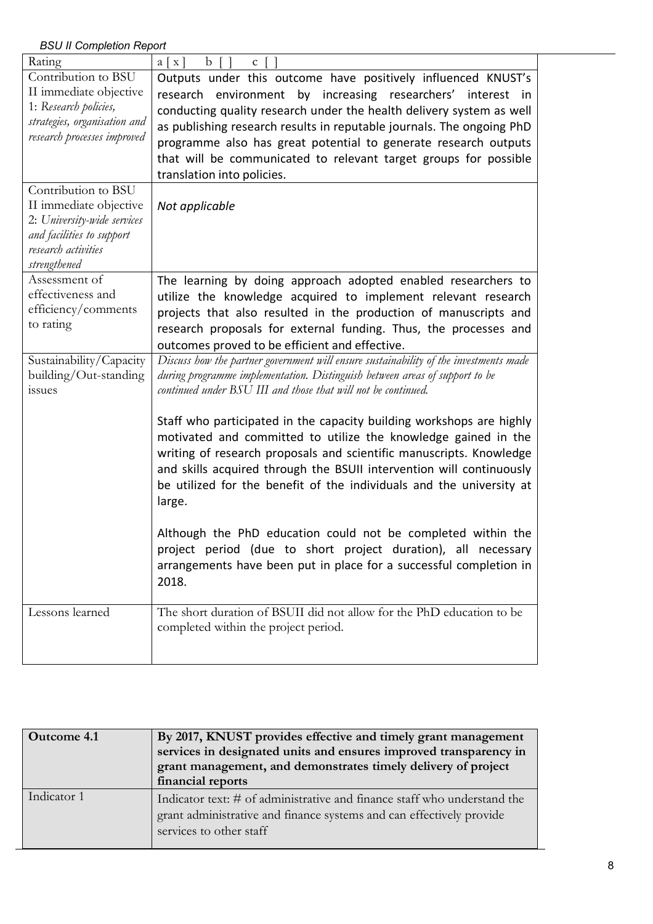| Rating                                                                                                                                           | $\mathbf b$<br>$a \mid x$<br>$\mathbf{C}$                                                                                                                                                                                                                                                                                                                                                                                                          |
|--------------------------------------------------------------------------------------------------------------------------------------------------|----------------------------------------------------------------------------------------------------------------------------------------------------------------------------------------------------------------------------------------------------------------------------------------------------------------------------------------------------------------------------------------------------------------------------------------------------|
| Contribution to BSU<br>II immediate objective<br>1: Research policies,<br>strategies, organisation and<br>research processes improved            | Outputs under this outcome have positively influenced KNUST's<br>research environment by increasing researchers' interest in<br>conducting quality research under the health delivery system as well<br>as publishing research results in reputable journals. The ongoing PhD<br>programme also has great potential to generate research outputs<br>that will be communicated to relevant target groups for possible<br>translation into policies. |
| Contribution to BSU<br>II immediate objective<br>2: University-wide services<br>and facilities to support<br>research activities<br>strengthened | Not applicable                                                                                                                                                                                                                                                                                                                                                                                                                                     |
| Assessment of<br>effectiveness and<br>efficiency/comments<br>to rating                                                                           | The learning by doing approach adopted enabled researchers to<br>utilize the knowledge acquired to implement relevant research<br>projects that also resulted in the production of manuscripts and<br>research proposals for external funding. Thus, the processes and<br>outcomes proved to be efficient and effective.                                                                                                                           |
| Sustainability/Capacity<br>building/Out-standing<br>issues                                                                                       | Discuss how the partner government will ensure sustainability of the investments made<br>during programme implementation. Distinguish between areas of support to be<br>continued under BSU III and those that will not be continued.                                                                                                                                                                                                              |
|                                                                                                                                                  | Staff who participated in the capacity building workshops are highly<br>motivated and committed to utilize the knowledge gained in the<br>writing of research proposals and scientific manuscripts. Knowledge<br>and skills acquired through the BSUII intervention will continuously<br>be utilized for the benefit of the individuals and the university at<br>large.                                                                            |
|                                                                                                                                                  | Although the PhD education could not be completed within the<br>project period (due to short project duration), all necessary<br>arrangements have been put in place for a successful completion in<br>2018.                                                                                                                                                                                                                                       |
| Lessons learned                                                                                                                                  | The short duration of BSUII did not allow for the PhD education to be<br>completed within the project period.                                                                                                                                                                                                                                                                                                                                      |

| Outcome 4.1 | By 2017, KNUST provides effective and timely grant management<br>services in designated units and ensures improved transparency in<br>grant management, and demonstrates timely delivery of project<br>financial reports |
|-------------|--------------------------------------------------------------------------------------------------------------------------------------------------------------------------------------------------------------------------|
| Indicator 1 | Indicator text: # of administrative and finance staff who understand the<br>grant administrative and finance systems and can effectively provide<br>services to other staff                                              |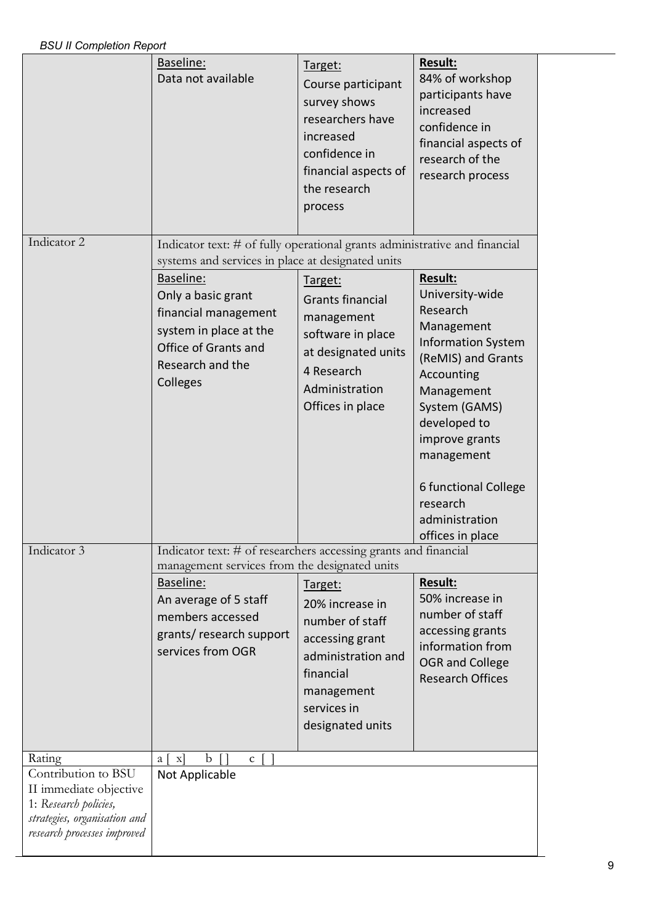|                                                                                                                                                 | Baseline:<br>Data not available                                                                                                              | Target:<br>Course participant<br>survey shows<br>researchers have<br>increased<br>confidence in<br>financial aspects of<br>the research<br>process   | Result:<br>84% of workshop<br>participants have<br>increased<br>confidence in<br>financial aspects of<br>research of the<br>research process                                                                                                                        |
|-------------------------------------------------------------------------------------------------------------------------------------------------|----------------------------------------------------------------------------------------------------------------------------------------------|------------------------------------------------------------------------------------------------------------------------------------------------------|---------------------------------------------------------------------------------------------------------------------------------------------------------------------------------------------------------------------------------------------------------------------|
| Indicator 2                                                                                                                                     | Indicator text: # of fully operational grants administrative and financial<br>systems and services in place at designated units<br>Baseline: | Target:                                                                                                                                              | <b>Result:</b>                                                                                                                                                                                                                                                      |
|                                                                                                                                                 | Only a basic grant<br>financial management<br>system in place at the<br>Office of Grants and<br>Research and the<br>Colleges                 | <b>Grants financial</b><br>management<br>software in place<br>at designated units<br>4 Research<br>Administration<br>Offices in place                | University-wide<br>Research<br>Management<br><b>Information System</b><br>(ReMIS) and Grants<br>Accounting<br>Management<br>System (GAMS)<br>developed to<br>improve grants<br>management<br>6 functional College<br>research<br>administration<br>offices in place |
| Indicator 3                                                                                                                                     | Indicator text: # of researchers accessing grants and financial<br>management services from the designated units                             |                                                                                                                                                      |                                                                                                                                                                                                                                                                     |
|                                                                                                                                                 | Baseline:<br>An average of 5 staff<br>members accessed<br>grants/ research support<br>services from OGR                                      | Target:<br>20% increase in<br>number of staff<br>accessing grant<br>administration and<br>financial<br>management<br>services in<br>designated units | Result:<br>50% increase in<br>number of staff<br>accessing grants<br>information from<br><b>OGR</b> and College<br><b>Research Offices</b>                                                                                                                          |
| Rating<br>Contribution to BSU<br>II immediate objective<br>1: Research policies,<br>strategies, organisation and<br>research processes improved | $\mathbf b$<br>$\mathbf{x}$<br>$\Box$<br>a  <br>$c \mid$<br>Not Applicable                                                                   |                                                                                                                                                      |                                                                                                                                                                                                                                                                     |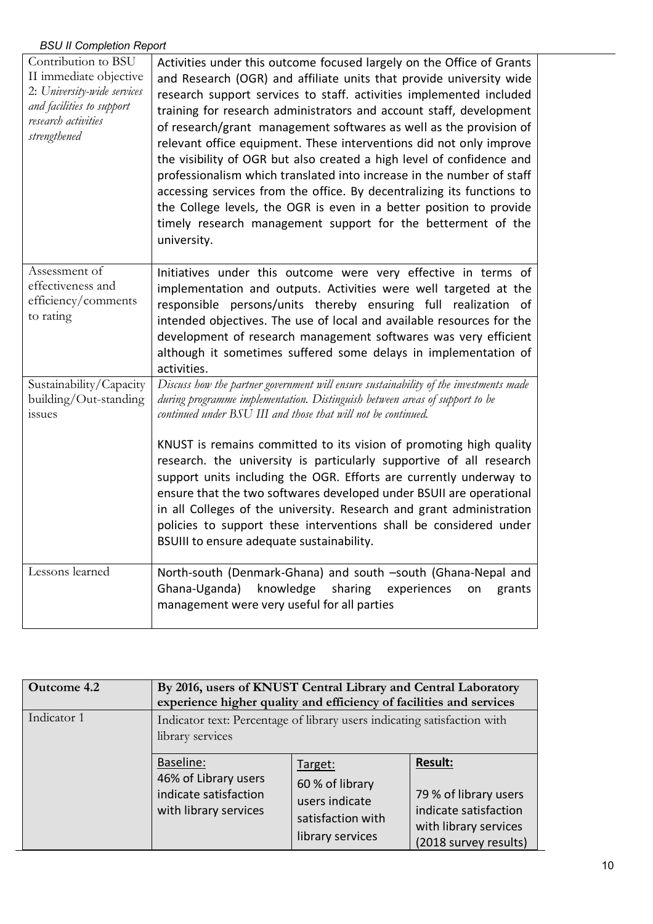| Contribution to BSU<br>II immediate objective<br>2: University-wide services<br>and facilities to support<br>research activities<br>strengthened | Activities under this outcome focused largely on the Office of Grants<br>and Research (OGR) and affiliate units that provide university wide<br>research support services to staff. activities implemented included<br>training for research administrators and account staff, development<br>of research/grant management softwares as well as the provision of<br>relevant office equipment. These interventions did not only improve<br>the visibility of OGR but also created a high level of confidence and<br>professionalism which translated into increase in the number of staff<br>accessing services from the office. By decentralizing its functions to<br>the College levels, the OGR is even in a better position to provide<br>timely research management support for the betterment of the<br>university. |
|--------------------------------------------------------------------------------------------------------------------------------------------------|---------------------------------------------------------------------------------------------------------------------------------------------------------------------------------------------------------------------------------------------------------------------------------------------------------------------------------------------------------------------------------------------------------------------------------------------------------------------------------------------------------------------------------------------------------------------------------------------------------------------------------------------------------------------------------------------------------------------------------------------------------------------------------------------------------------------------|
| Assessment of<br>effectiveness and<br>efficiency/comments<br>to rating                                                                           | Initiatives under this outcome were very effective in terms of<br>implementation and outputs. Activities were well targeted at the<br>responsible persons/units thereby ensuring full realization of<br>intended objectives. The use of local and available resources for the<br>development of research management softwares was very efficient<br>although it sometimes suffered some delays in implementation of<br>activities.                                                                                                                                                                                                                                                                                                                                                                                        |
| Sustainability/Capacity<br>building/Out-standing<br>issues                                                                                       | Discuss how the partner government will ensure sustainability of the investments made<br>during programme implementation. Distinguish between areas of support to be<br>continued under BSU III and those that will not be continued.<br>KNUST is remains committed to its vision of promoting high quality<br>research. the university is particularly supportive of all research<br>support units including the OGR. Efforts are currently underway to<br>ensure that the two softwares developed under BSUII are operational<br>in all Colleges of the university. Research and grant administration<br>policies to support these interventions shall be considered under<br>BSUIII to ensure adequate sustainability.                                                                                                 |
| Lessons learned                                                                                                                                  | North-south (Denmark-Ghana) and south -south (Ghana-Nepal and<br>Ghana-Uganda)<br>knowledge<br>sharing<br>experiences<br>grants<br>on<br>management were very useful for all parties                                                                                                                                                                                                                                                                                                                                                                                                                                                                                                                                                                                                                                      |

| Outcome 4.2 | By 2016, users of KNUST Central Library and Central Laboratory<br>experience higher quality and efficiency of facilities and services |                                                                                       |                                                                                                                    |
|-------------|---------------------------------------------------------------------------------------------------------------------------------------|---------------------------------------------------------------------------------------|--------------------------------------------------------------------------------------------------------------------|
| Indicator 1 | Indicator text: Percentage of library users indicating satisfaction with<br>library services                                          |                                                                                       |                                                                                                                    |
|             | Baseline:<br>46% of Library users<br>indicate satisfaction<br>with library services                                                   | Target:<br>60 % of library<br>users indicate<br>satisfaction with<br>library services | <b>Result:</b><br>79 % of library users<br>indicate satisfaction<br>with library services<br>(2018 survey results) |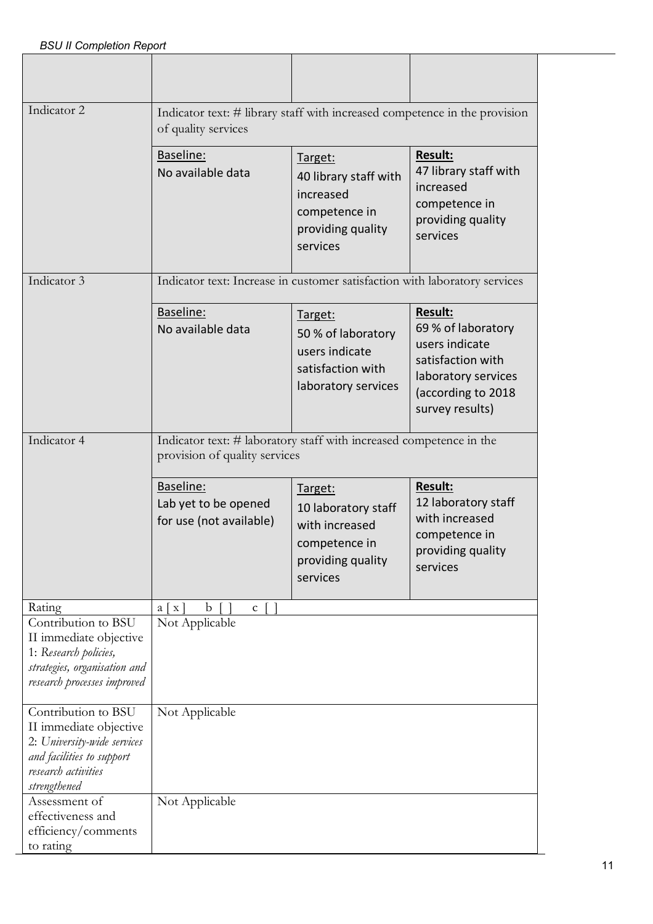| Indicator 2                                                                                                                                      | Indicator text: # library staff with increased competence in the provision<br>of quality services    |                                                                                                    |                                                                                                                                             |
|--------------------------------------------------------------------------------------------------------------------------------------------------|------------------------------------------------------------------------------------------------------|----------------------------------------------------------------------------------------------------|---------------------------------------------------------------------------------------------------------------------------------------------|
|                                                                                                                                                  | Baseline:<br>No available data                                                                       | Target:<br>40 library staff with<br>increased<br>competence in<br>providing quality<br>services    | <b>Result:</b><br>47 library staff with<br>increased<br>competence in<br>providing quality<br>services                                      |
| Indicator 3                                                                                                                                      | Indicator text: Increase in customer satisfaction with laboratory services                           |                                                                                                    |                                                                                                                                             |
|                                                                                                                                                  | Baseline:<br>No available data                                                                       | Target:<br>50 % of laboratory<br>users indicate<br>satisfaction with<br>laboratory services        | <b>Result:</b><br>69 % of laboratory<br>users indicate<br>satisfaction with<br>laboratory services<br>(according to 2018<br>survey results) |
| Indicator 4                                                                                                                                      | Indicator text: # laboratory staff with increased competence in the<br>provision of quality services |                                                                                                    |                                                                                                                                             |
|                                                                                                                                                  | Baseline:<br>Lab yet to be opened<br>for use (not available)                                         | Target:<br>10 laboratory staff<br>with increased<br>competence in<br>providing quality<br>services | <b>Result:</b><br>12 laboratory staff<br>with increased<br>competence in<br>providing quality<br>services                                   |
| Rating                                                                                                                                           | b<br>$a \mid x$<br>$\mathsf{C}$                                                                      |                                                                                                    |                                                                                                                                             |
| Contribution to BSU<br>II immediate objective<br>1: Research policies,<br>strategies, organisation and<br>research processes improved            | Not Applicable                                                                                       |                                                                                                    |                                                                                                                                             |
| Contribution to BSU<br>II immediate objective<br>2: University-wide services<br>and facilities to support<br>research activities<br>strengthened | Not Applicable                                                                                       |                                                                                                    |                                                                                                                                             |
| Assessment of<br>effectiveness and<br>efficiency/comments<br>to rating                                                                           | Not Applicable                                                                                       |                                                                                                    |                                                                                                                                             |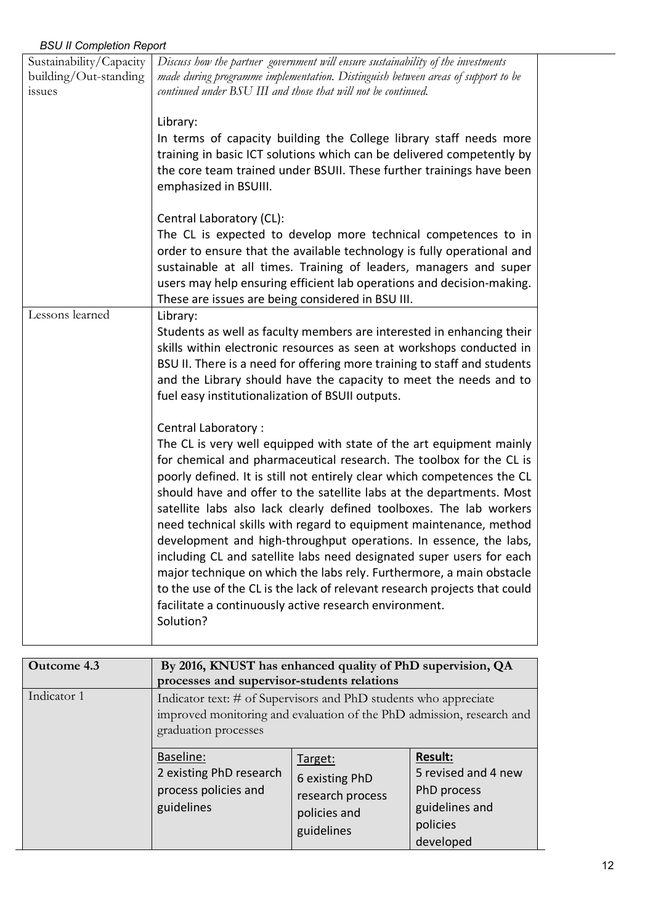| Sustainability/Capacity | Discuss how the partner government will ensure sustainability of the investments                                                                  |
|-------------------------|---------------------------------------------------------------------------------------------------------------------------------------------------|
| building/Out-standing   | made during programme implementation. Distinguish between areas of support to be                                                                  |
| issues                  | continued under BSU III and those that will not be continued.                                                                                     |
|                         |                                                                                                                                                   |
|                         | Library:                                                                                                                                          |
|                         | In terms of capacity building the College library staff needs more                                                                                |
|                         | training in basic ICT solutions which can be delivered competently by                                                                             |
|                         | the core team trained under BSUII. These further trainings have been                                                                              |
|                         | emphasized in BSUIII.                                                                                                                             |
|                         |                                                                                                                                                   |
|                         | Central Laboratory (CL):                                                                                                                          |
|                         | The CL is expected to develop more technical competences to in<br>order to ensure that the available technology is fully operational and          |
|                         | sustainable at all times. Training of leaders, managers and super                                                                                 |
|                         | users may help ensuring efficient lab operations and decision-making.                                                                             |
|                         | These are issues are being considered in BSU III.                                                                                                 |
| Lessons learned         | Library:                                                                                                                                          |
|                         | Students as well as faculty members are interested in enhancing their                                                                             |
|                         | skills within electronic resources as seen at workshops conducted in                                                                              |
|                         | BSU II. There is a need for offering more training to staff and students                                                                          |
|                         | and the Library should have the capacity to meet the needs and to                                                                                 |
|                         | fuel easy institutionalization of BSUII outputs.                                                                                                  |
|                         |                                                                                                                                                   |
|                         | Central Laboratory:                                                                                                                               |
|                         | The CL is very well equipped with state of the art equipment mainly                                                                               |
|                         | for chemical and pharmaceutical research. The toolbox for the CL is                                                                               |
|                         | poorly defined. It is still not entirely clear which competences the CL                                                                           |
|                         | should have and offer to the satellite labs at the departments. Most                                                                              |
|                         | satellite labs also lack clearly defined toolboxes. The lab workers                                                                               |
|                         | need technical skills with regard to equipment maintenance, method                                                                                |
|                         | development and high-throughput operations. In essence, the labs,                                                                                 |
|                         | including CL and satellite labs need designated super users for each                                                                              |
|                         | major technique on which the labs rely. Furthermore, a main obstacle<br>to the use of the CL is the lack of relevant research projects that could |
|                         | facilitate a continuously active research environment.                                                                                            |
|                         | Solution?                                                                                                                                         |
|                         |                                                                                                                                                   |

| Outcome 4.3 | By 2016, KNUST has enhanced quality of PhD supervision, QA<br>processes and supervisor-students relations                                                         |                                                                             |                                                                                                 |
|-------------|-------------------------------------------------------------------------------------------------------------------------------------------------------------------|-----------------------------------------------------------------------------|-------------------------------------------------------------------------------------------------|
| Indicator 1 | Indicator text: # of Supervisors and PhD students who appreciate<br>improved monitoring and evaluation of the PhD admission, research and<br>graduation processes |                                                                             |                                                                                                 |
|             | Baseline:<br>2 existing PhD research<br>process policies and<br>guidelines                                                                                        | Target:<br>6 existing PhD<br>research process<br>policies and<br>guidelines | <b>Result:</b><br>5 revised and 4 new<br>PhD process<br>guidelines and<br>policies<br>developed |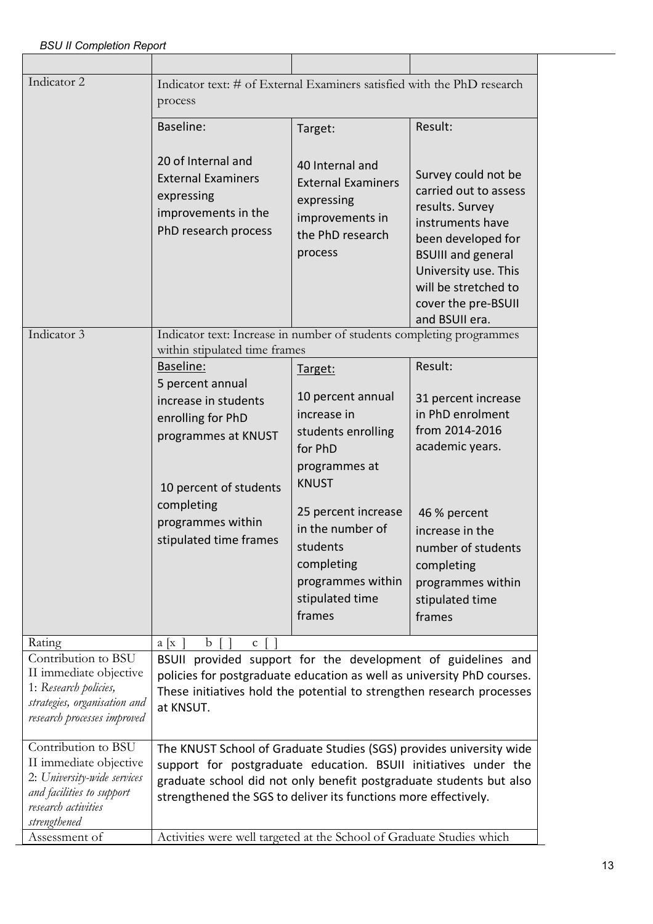| Indicator 2                                                                                                                                      | Indicator text: # of External Examiners satisfied with the PhD research<br>process                                                                                                                                                                                               |                                                                                                                                               |                                                                                                                                                                                                                                 |
|--------------------------------------------------------------------------------------------------------------------------------------------------|----------------------------------------------------------------------------------------------------------------------------------------------------------------------------------------------------------------------------------------------------------------------------------|-----------------------------------------------------------------------------------------------------------------------------------------------|---------------------------------------------------------------------------------------------------------------------------------------------------------------------------------------------------------------------------------|
|                                                                                                                                                  | Baseline:                                                                                                                                                                                                                                                                        | Target:                                                                                                                                       | Result:                                                                                                                                                                                                                         |
|                                                                                                                                                  | 20 of Internal and<br><b>External Examiners</b><br>expressing<br>improvements in the<br>PhD research process                                                                                                                                                                     | 40 Internal and<br><b>External Examiners</b><br>expressing<br>improvements in<br>the PhD research<br>process                                  | Survey could not be<br>carried out to assess<br>results. Survey<br>instruments have<br>been developed for<br><b>BSUIII</b> and general<br>University use. This<br>will be stretched to<br>cover the pre-BSUII<br>and BSUII era. |
| Indicator 3                                                                                                                                      | Indicator text: Increase in number of students completing programmes<br>within stipulated time frames                                                                                                                                                                            |                                                                                                                                               |                                                                                                                                                                                                                                 |
|                                                                                                                                                  | Baseline:<br>5 percent annual                                                                                                                                                                                                                                                    | Target:                                                                                                                                       | Result:                                                                                                                                                                                                                         |
|                                                                                                                                                  | increase in students<br>enrolling for PhD<br>programmes at KNUST<br>10 percent of students<br>completing<br>programmes within<br>stipulated time frames                                                                                                                          | 10 percent annual<br>increase in<br>students enrolling<br>for PhD<br>programmes at<br><b>KNUST</b><br>25 percent increase<br>in the number of | 31 percent increase<br>in PhD enrolment<br>from 2014-2016<br>academic years.<br>46 % percent<br>increase in the                                                                                                                 |
|                                                                                                                                                  |                                                                                                                                                                                                                                                                                  | students<br>completing<br>programmes within<br>stipulated time<br>frames                                                                      | number of students<br>completing<br>programmes within<br>stipulated time<br>frames                                                                                                                                              |
| Rating                                                                                                                                           | a[x]<br>b<br>$\mathbf{C}$                                                                                                                                                                                                                                                        |                                                                                                                                               |                                                                                                                                                                                                                                 |
| Contribution to BSU<br>II immediate objective<br>1: Research policies,<br>strategies, organisation and<br>research processes improved            | BSUII provided support for the development of guidelines and<br>policies for postgraduate education as well as university PhD courses.<br>These initiatives hold the potential to strengthen research processes<br>at KNSUT.                                                     |                                                                                                                                               |                                                                                                                                                                                                                                 |
| Contribution to BSU<br>II immediate objective<br>2: University-wide services<br>and facilities to support<br>research activities<br>strengthened | The KNUST School of Graduate Studies (SGS) provides university wide<br>support for postgraduate education. BSUII initiatives under the<br>graduate school did not only benefit postgraduate students but also<br>strengthened the SGS to deliver its functions more effectively. |                                                                                                                                               |                                                                                                                                                                                                                                 |
| Assessment of                                                                                                                                    | Activities were well targeted at the School of Graduate Studies which                                                                                                                                                                                                            |                                                                                                                                               |                                                                                                                                                                                                                                 |
|                                                                                                                                                  |                                                                                                                                                                                                                                                                                  |                                                                                                                                               |                                                                                                                                                                                                                                 |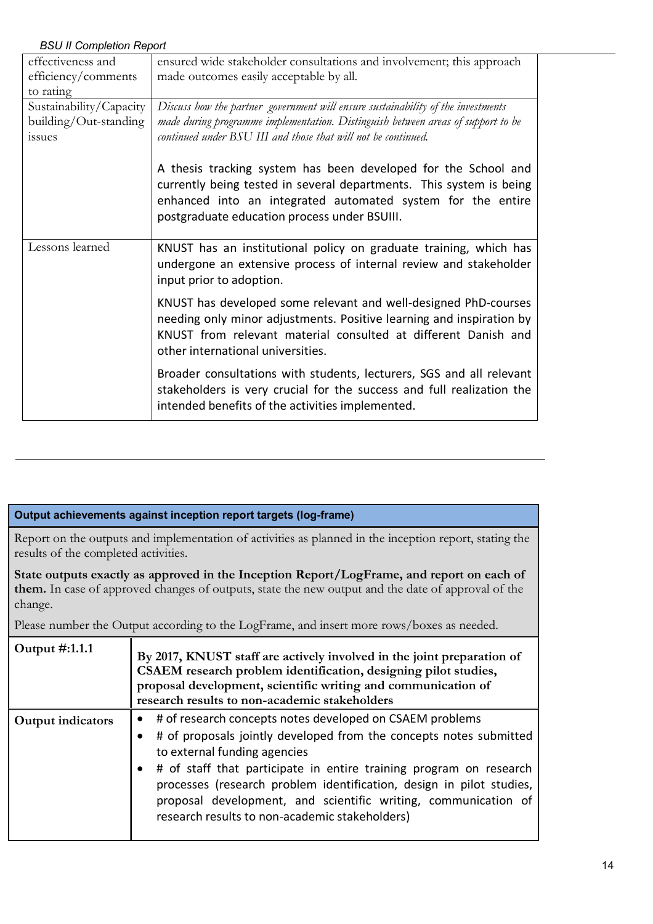| effectiveness and       | ensured wide stakeholder consultations and involvement; this approach                                                                                                                                                                                |
|-------------------------|------------------------------------------------------------------------------------------------------------------------------------------------------------------------------------------------------------------------------------------------------|
| efficiency/comments     | made outcomes easily acceptable by all.                                                                                                                                                                                                              |
| to rating               |                                                                                                                                                                                                                                                      |
| Sustainability/Capacity | Discuss how the partner government will ensure sustainability of the investments                                                                                                                                                                     |
| building/Out-standing   | made during programme implementation. Distinguish between areas of support to be                                                                                                                                                                     |
| <i>issues</i>           | continued under BSU III and those that will not be continued.                                                                                                                                                                                        |
|                         | A thesis tracking system has been developed for the School and<br>currently being tested in several departments. This system is being<br>enhanced into an integrated automated system for the entire<br>postgraduate education process under BSUIII. |
| Lessons learned         | KNUST has an institutional policy on graduate training, which has<br>undergone an extensive process of internal review and stakeholder<br>input prior to adoption.                                                                                   |
|                         | KNUST has developed some relevant and well-designed PhD-courses<br>needing only minor adjustments. Positive learning and inspiration by<br>KNUST from relevant material consulted at different Danish and<br>other international universities.       |
|                         | Broader consultations with students, lecturers, SGS and all relevant<br>stakeholders is very crucial for the success and full realization the<br>intended benefits of the activities implemented.                                                    |

### **Output achievements against inception report targets (log-frame)**

Report on the outputs and implementation of activities as planned in the inception report, stating the results of the completed activities.

**State outputs exactly as approved in the Inception Report/LogFrame, and report on each of them.** In case of approved changes of outputs, state the new output and the date of approval of the change.

Please number the Output according to the LogFrame, and insert more rows/boxes as needed.

| Output #:1.1.1    | By 2017, KNUST staff are actively involved in the joint preparation of<br>CSAEM research problem identification, designing pilot studies,<br>proposal development, scientific writing and communication of<br>research results to non-academic stakeholders                                                                                                                                                                                   |
|-------------------|-----------------------------------------------------------------------------------------------------------------------------------------------------------------------------------------------------------------------------------------------------------------------------------------------------------------------------------------------------------------------------------------------------------------------------------------------|
| Output indicators | # of research concepts notes developed on CSAEM problems<br>$\bullet$<br># of proposals jointly developed from the concepts notes submitted<br>to external funding agencies<br># of staff that participate in entire training program on research<br>processes (research problem identification, design in pilot studies,<br>proposal development, and scientific writing, communication of<br>research results to non-academic stakeholders) |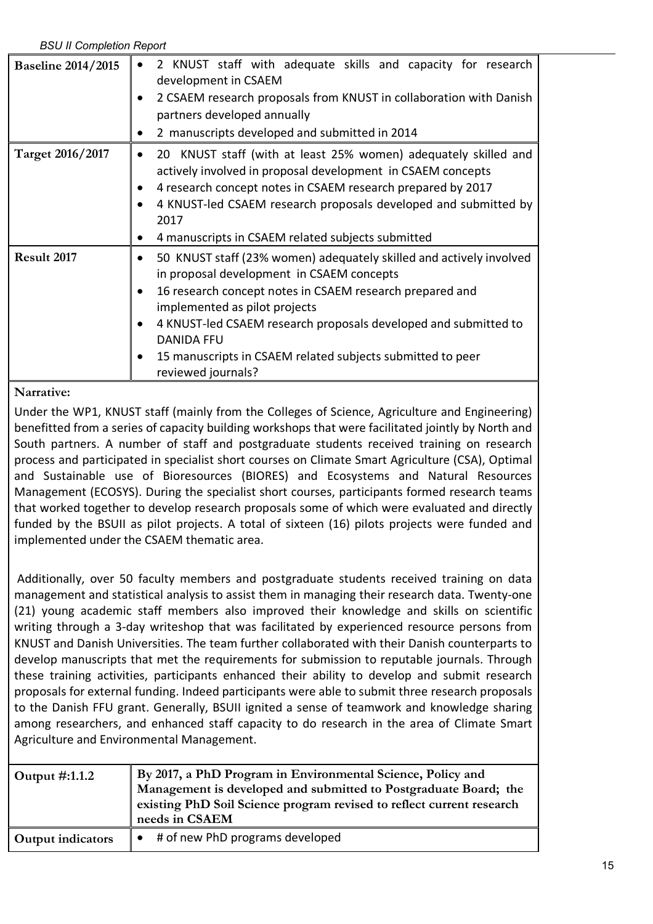| <b>Baseline 2014/2015</b> | 2 KNUST staff with adequate skills and capacity for research<br>development in CSAEM<br>2 CSAEM research proposals from KNUST in collaboration with Danish                                                                                                                                                                                                                                |
|---------------------------|-------------------------------------------------------------------------------------------------------------------------------------------------------------------------------------------------------------------------------------------------------------------------------------------------------------------------------------------------------------------------------------------|
|                           | partners developed annually<br>2 manuscripts developed and submitted in 2014                                                                                                                                                                                                                                                                                                              |
| Target 2016/2017          | 20 KNUST staff (with at least 25% women) adequately skilled and<br>actively involved in proposal development in CSAEM concepts<br>4 research concept notes in CSAEM research prepared by 2017<br>4 KNUST-led CSAEM research proposals developed and submitted by<br>2017<br>4 manuscripts in CSAEM related subjects submitted<br>$\bullet$                                                |
| Result 2017               | 50 KNUST staff (23% women) adequately skilled and actively involved<br>in proposal development in CSAEM concepts<br>16 research concept notes in CSAEM research prepared and<br>implemented as pilot projects<br>4 KNUST-led CSAEM research proposals developed and submitted to<br><b>DANIDA FFU</b><br>15 manuscripts in CSAEM related subjects submitted to peer<br>reviewed journals? |

# **Narrative:**

Under the WP1, KNUST staff (mainly from the Colleges of Science, Agriculture and Engineering) benefitted from a series of capacity building workshops that were facilitated jointly by North and South partners. A number of staff and postgraduate students received training on research process and participated in specialist short courses on Climate Smart Agriculture (CSA), Optimal and Sustainable use of Bioresources (BIORES) and Ecosystems and Natural Resources Management (ECOSYS). During the specialist short courses, participants formed research teams that worked together to develop research proposals some of which were evaluated and directly funded by the BSUII as pilot projects. A total of sixteen (16) pilots projects were funded and implemented under the CSAEM thematic area.

Additionally, over 50 faculty members and postgraduate students received training on data management and statistical analysis to assist them in managing their research data. Twenty-one (21) young academic staff members also improved their knowledge and skills on scientific writing through a 3-day writeshop that was facilitated by experienced resource persons from KNUST and Danish Universities. The team further collaborated with their Danish counterparts to develop manuscripts that met the requirements for submission to reputable journals. Through these training activities, participants enhanced their ability to develop and submit research proposals for external funding. Indeed participants were able to submit three research proposals to the Danish FFU grant. Generally, BSUII ignited a sense of teamwork and knowledge sharing among researchers, and enhanced staff capacity to do research in the area of Climate Smart Agriculture and Environmental Management.

| Output #:1.1.2           | By 2017, a PhD Program in Environmental Science, Policy and<br>Management is developed and submitted to Postgraduate Board; the<br>existing PhD Soil Science program revised to reflect current research<br>needs in CSAEM |
|--------------------------|----------------------------------------------------------------------------------------------------------------------------------------------------------------------------------------------------------------------------|
| <b>Output indicators</b> | # of new PhD programs developed                                                                                                                                                                                            |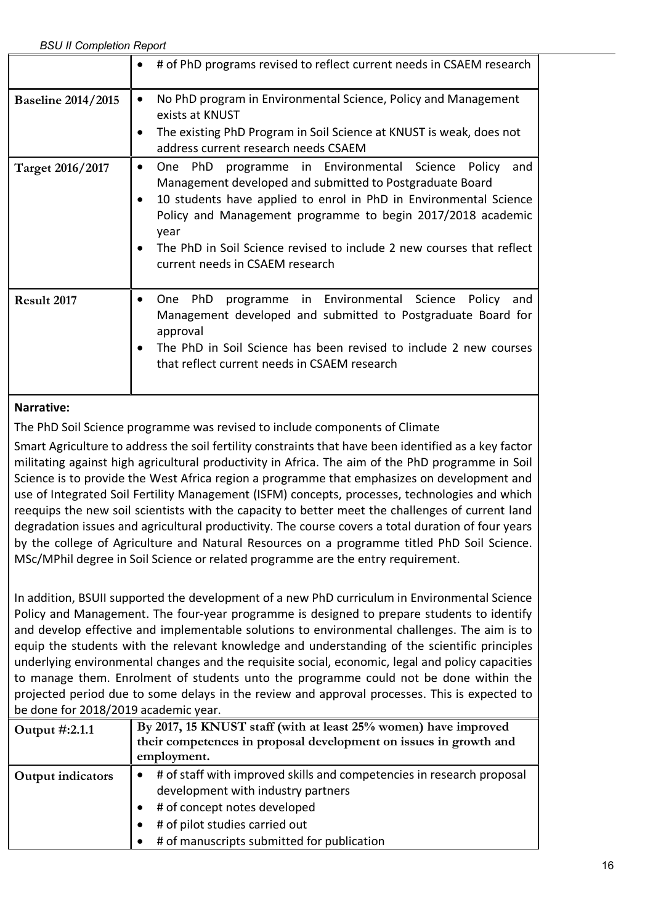|                           | # of PhD programs revised to reflect current needs in CSAEM research                                                                                                                                                                                                                                                                                                                         |
|---------------------------|----------------------------------------------------------------------------------------------------------------------------------------------------------------------------------------------------------------------------------------------------------------------------------------------------------------------------------------------------------------------------------------------|
| <b>Baseline 2014/2015</b> | No PhD program in Environmental Science, Policy and Management<br>$\bullet$<br>exists at KNUST<br>The existing PhD Program in Soil Science at KNUST is weak, does not<br>address current research needs CSAEM                                                                                                                                                                                |
| Target 2016/2017          | programme in Environmental Science Policy<br>One PhD<br>and<br>$\bullet$<br>Management developed and submitted to Postgraduate Board<br>10 students have applied to enrol in PhD in Environmental Science<br>Policy and Management programme to begin 2017/2018 academic<br>year<br>The PhD in Soil Science revised to include 2 new courses that reflect<br>current needs in CSAEM research |
| Result 2017               | programme in Environmental Science<br><b>PhD</b><br>Policy<br>One<br>and<br>Management developed and submitted to Postgraduate Board for<br>approval<br>The PhD in Soil Science has been revised to include 2 new courses<br>that reflect current needs in CSAEM research                                                                                                                    |

The PhD Soil Science programme was revised to include components of Climate

Smart Agriculture to address the soil fertility constraints that have been identified as a key factor militating against high agricultural productivity in Africa. The aim of the PhD programme in Soil Science is to provide the West Africa region a programme that emphasizes on development and use of Integrated Soil Fertility Management (ISFM) concepts, processes, technologies and which reequips the new soil scientists with the capacity to better meet the challenges of current land degradation issues and agricultural productivity. The course covers a total duration of four years by the college of Agriculture and Natural Resources on a programme titled PhD Soil Science. MSc/MPhil degree in Soil Science or related programme are the entry requirement.

In addition, BSUII supported the development of a new PhD curriculum in Environmental Science Policy and Management. The four-year programme is designed to prepare students to identify and develop effective and implementable solutions to environmental challenges. The aim is to equip the students with the relevant knowledge and understanding of the scientific principles underlying environmental changes and the requisite social, economic, legal and policy capacities to manage them. Enrolment of students unto the programme could not be done within the projected period due to some delays in the review and approval processes. This is expected to be done for 2018/2019 academic year.

| Output #:2.1.1           | By 2017, 15 KNUST staff (with at least 25% women) have improved       |
|--------------------------|-----------------------------------------------------------------------|
|                          | their competences in proposal development on issues in growth and     |
|                          | employment.                                                           |
| <b>Output indicators</b> | # of staff with improved skills and competencies in research proposal |
|                          | development with industry partners                                    |
|                          | # of concept notes developed                                          |
|                          | # of pilot studies carried out                                        |
|                          | # of manuscripts submitted for publication                            |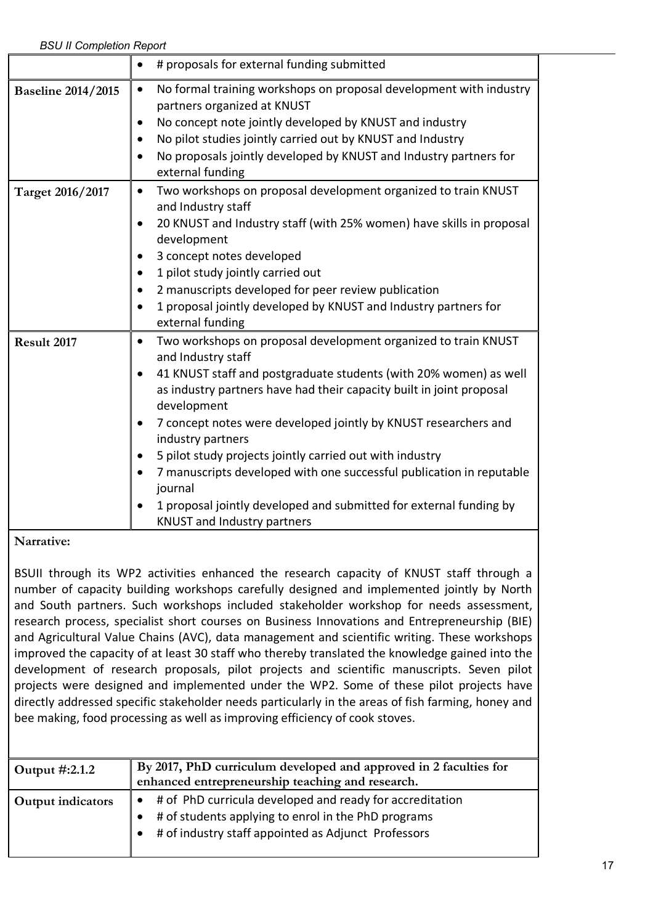|                           | # proposals for external funding submitted                                                                                                               |
|---------------------------|----------------------------------------------------------------------------------------------------------------------------------------------------------|
| <b>Baseline 2014/2015</b> | No formal training workshops on proposal development with industry<br>$\bullet$<br>partners organized at KNUST                                           |
|                           | No concept note jointly developed by KNUST and industry                                                                                                  |
|                           | No pilot studies jointly carried out by KNUST and Industry                                                                                               |
|                           | No proposals jointly developed by KNUST and Industry partners for<br>external funding                                                                    |
| Target 2016/2017          | Two workshops on proposal development organized to train KNUST<br>٠<br>and Industry staff                                                                |
|                           | 20 KNUST and Industry staff (with 25% women) have skills in proposal<br>development                                                                      |
|                           | 3 concept notes developed                                                                                                                                |
|                           | 1 pilot study jointly carried out                                                                                                                        |
|                           | 2 manuscripts developed for peer review publication                                                                                                      |
|                           | 1 proposal jointly developed by KNUST and Industry partners for<br>external funding                                                                      |
| Result 2017               | Two workshops on proposal development organized to train KNUST<br>$\bullet$<br>and Industry staff                                                        |
|                           | 41 KNUST staff and postgraduate students (with 20% women) as well<br>as industry partners have had their capacity built in joint proposal<br>development |
|                           | 7 concept notes were developed jointly by KNUST researchers and<br>industry partners                                                                     |
|                           | 5 pilot study projects jointly carried out with industry                                                                                                 |
|                           | 7 manuscripts developed with one successful publication in reputable<br>journal                                                                          |
|                           | 1 proposal jointly developed and submitted for external funding by<br>KNUST and Industry partners                                                        |

BSUII through its WP2 activities enhanced the research capacity of KNUST staff through a number of capacity building workshops carefully designed and implemented jointly by North and South partners. Such workshops included stakeholder workshop for needs assessment, research process, specialist short courses on Business Innovations and Entrepreneurship (BIE) and Agricultural Value Chains (AVC), data management and scientific writing. These workshops improved the capacity of at least 30 staff who thereby translated the knowledge gained into the development of research proposals, pilot projects and scientific manuscripts. Seven pilot projects were designed and implemented under the WP2. Some of these pilot projects have directly addressed specific stakeholder needs particularly in the areas of fish farming, honey and bee making, food processing as well as improving efficiency of cook stoves.

| Output #:2.1.2           | By 2017, PhD curriculum developed and approved in 2 faculties for<br>enhanced entrepreneurship teaching and research.                                                  |
|--------------------------|------------------------------------------------------------------------------------------------------------------------------------------------------------------------|
| <b>Output indicators</b> | # of PhD curricula developed and ready for accreditation<br># of students applying to enrol in the PhD programs<br># of industry staff appointed as Adjunct Professors |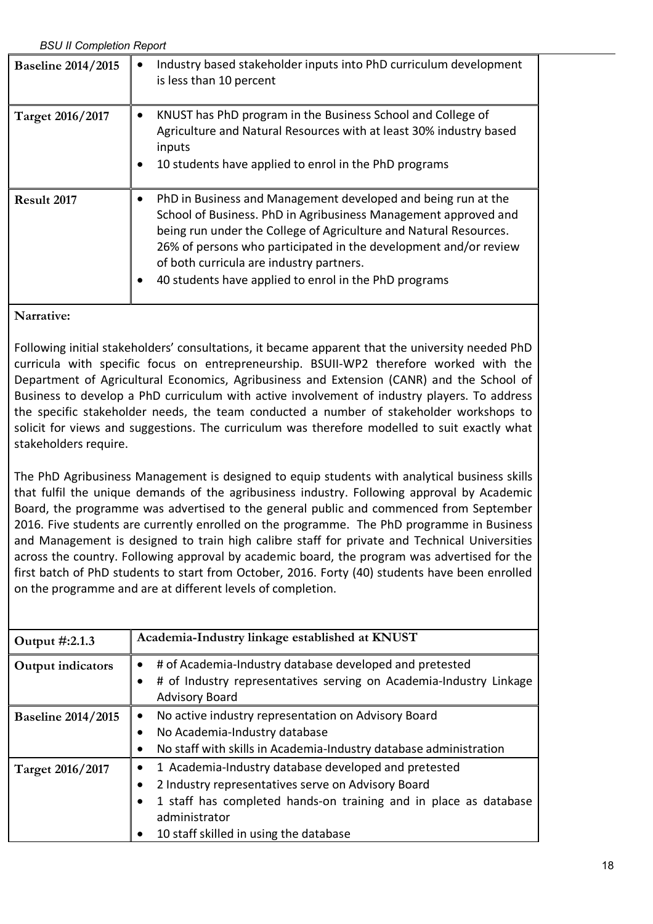| <b>BSU II Completion Report</b> |                                                                                                                                                                                                                                                                                                                                                                                |  |
|---------------------------------|--------------------------------------------------------------------------------------------------------------------------------------------------------------------------------------------------------------------------------------------------------------------------------------------------------------------------------------------------------------------------------|--|
| <b>Baseline 2014/2015</b>       | Industry based stakeholder inputs into PhD curriculum development<br>is less than 10 percent                                                                                                                                                                                                                                                                                   |  |
| Target 2016/2017                | KNUST has PhD program in the Business School and College of<br>$\bullet$<br>Agriculture and Natural Resources with at least 30% industry based<br>inputs<br>10 students have applied to enrol in the PhD programs                                                                                                                                                              |  |
| Result 2017                     | PhD in Business and Management developed and being run at the<br>School of Business. PhD in Agribusiness Management approved and<br>being run under the College of Agriculture and Natural Resources.<br>26% of persons who participated in the development and/or review<br>of both curricula are industry partners.<br>40 students have applied to enrol in the PhD programs |  |

Following initial stakeholders' consultations, it became apparent that the university needed PhD curricula with specific focus on entrepreneurship. BSUII-WP2 therefore worked with the Department of Agricultural Economics, Agribusiness and Extension (CANR) and the School of Business to develop a PhD curriculum with active involvement of industry players. To address the specific stakeholder needs, the team conducted a number of stakeholder workshops to solicit for views and suggestions. The curriculum was therefore modelled to suit exactly what stakeholders require.

The PhD Agribusiness Management is designed to equip students with analytical business skills that fulfil the unique demands of the agribusiness industry. Following approval by Academic Board, the programme was advertised to the general public and commenced from September 2016. Five students are currently enrolled on the programme. The PhD programme in Business and Management is designed to train high calibre staff for private and Technical Universities across the country. Following approval by academic board, the program was advertised for the first batch of PhD students to start from October, 2016. Forty (40) students have been enrolled on the programme and are at different levels of completion.

| Output #:2.1.3            | Academia-Industry linkage established at KNUST                                                                                                                                                                                                         |
|---------------------------|--------------------------------------------------------------------------------------------------------------------------------------------------------------------------------------------------------------------------------------------------------|
| Output indicators         | # of Academia-Industry database developed and pretested<br># of Industry representatives serving on Academia-Industry Linkage<br><b>Advisory Board</b>                                                                                                 |
| <b>Baseline 2014/2015</b> | No active industry representation on Advisory Board<br>٠<br>No Academia-Industry database<br>No staff with skills in Academia-Industry database administration                                                                                         |
| Target 2016/2017          | 1 Academia-Industry database developed and pretested<br>2 Industry representatives serve on Advisory Board<br>1 staff has completed hands-on training and in place as database<br>administrator<br>10 staff skilled in using the database<br>$\bullet$ |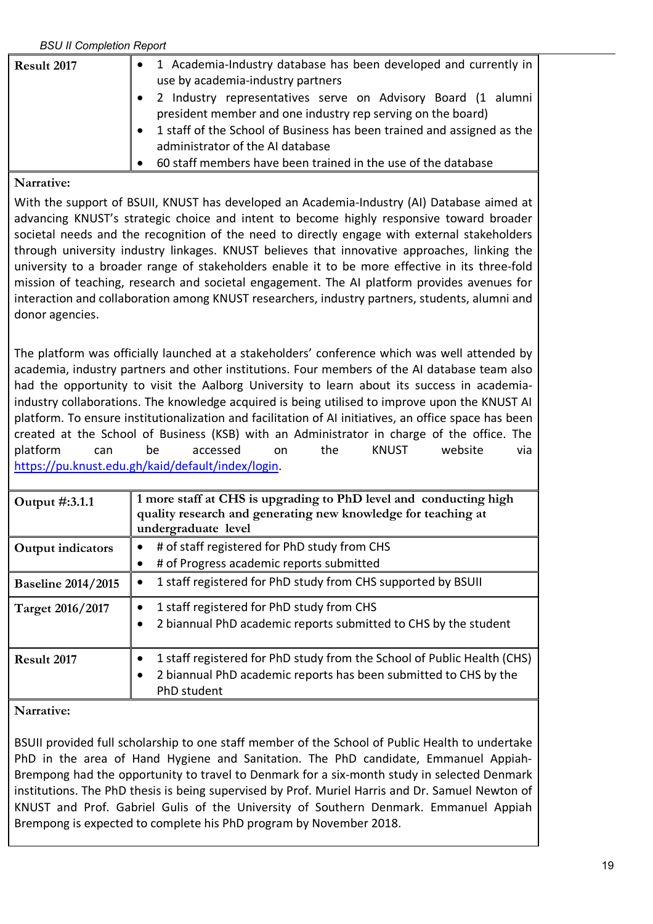| Result 2017 | 1 Academia-Industry database has been developed and currently in   <br>use by academia-industry partners                    |
|-------------|-----------------------------------------------------------------------------------------------------------------------------|
|             | 2 Industry representatives serve on Advisory Board (1 alumni<br>president member and one industry rep serving on the board) |
|             | 1 staff of the School of Business has been trained and assigned as the<br>administrator of the AI database                  |
|             | 60 staff members have been trained in the use of the database                                                               |

### **Narrative:**

With the support of BSUII, KNUST has developed an Academia-Industry (AI) Database aimed at advancing KNUST's strategic choice and intent to become highly responsive toward broader societal needs and the recognition of the need to directly engage with external stakeholders through university industry linkages. KNUST believes that innovative approaches, linking the university to a broader range of stakeholders enable it to be more effective in its three-fold mission of teaching, research and societal engagement. The AI platform provides avenues for interaction and collaboration among KNUST researchers, industry partners, students, alumni and donor agencies.

The platform was officially launched at a stakeholders' conference which was well attended by academia, industry partners and other institutions. Four members of the AI database team also had the opportunity to visit the Aalborg University to learn about its success in academiaindustry collaborations. The knowledge acquired is being utilised to improve upon the KNUST AI platform. To ensure institutionalization and facilitation of AI initiatives, an office space has been created at the School of Business (KSB) with an Administrator in charge of the office. The platform can be accessed on the KNUST website via https://pu.knust.edu.gh/kaid/default/index/login.

| Output #:3.1.1            | 1 more staff at CHS is upgrading to PhD level and conducting high<br>quality research and generating new knowledge for teaching at<br>undergraduate level  |
|---------------------------|------------------------------------------------------------------------------------------------------------------------------------------------------------|
| Output indicators         | # of staff registered for PhD study from CHS<br># of Progress academic reports submitted                                                                   |
| <b>Baseline 2014/2015</b> | 1 staff registered for PhD study from CHS supported by BSUII                                                                                               |
| <b>Target 2016/2017</b>   | 1 staff registered for PhD study from CHS<br>2 biannual PhD academic reports submitted to CHS by the student                                               |
| Result 2017               | 1 staff registered for PhD study from the School of Public Health (CHS)<br>2 biannual PhD academic reports has been submitted to CHS by the<br>PhD student |

### **Narrative:**

BSUII provided full scholarship to one staff member of the School of Public Health to undertake PhD in the area of Hand Hygiene and Sanitation. The PhD candidate, Emmanuel Appiah-Brempong had the opportunity to travel to Denmark for a six-month study in selected Denmark institutions. The PhD thesis is being supervised by Prof. Muriel Harris and Dr. Samuel Newton of KNUST and Prof. Gabriel Gulis of the University of Southern Denmark. Emmanuel Appiah Brempong is expected to complete his PhD program by November 2018.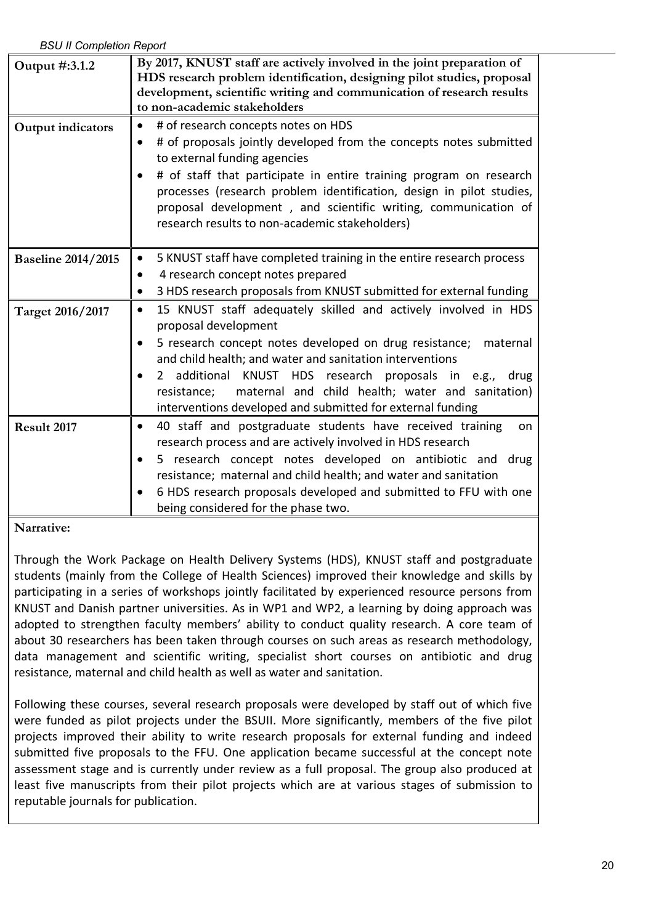| Output #:3.1.2            | By 2017, KNUST staff are actively involved in the joint preparation of<br>HDS research problem identification, designing pilot studies, proposal<br>development, scientific writing and communication of research results<br>to non-academic stakeholders                                                                                                                                                                                  |
|---------------------------|--------------------------------------------------------------------------------------------------------------------------------------------------------------------------------------------------------------------------------------------------------------------------------------------------------------------------------------------------------------------------------------------------------------------------------------------|
| <b>Output indicators</b>  | # of research concepts notes on HDS<br># of proposals jointly developed from the concepts notes submitted<br>to external funding agencies<br># of staff that participate in entire training program on research<br>processes (research problem identification, design in pilot studies,<br>proposal development, and scientific writing, communication of<br>research results to non-academic stakeholders)                                |
| <b>Baseline 2014/2015</b> | 5 KNUST staff have completed training in the entire research process<br>4 research concept notes prepared<br>3 HDS research proposals from KNUST submitted for external funding                                                                                                                                                                                                                                                            |
| Target 2016/2017          | 15 KNUST staff adequately skilled and actively involved in HDS<br>$\bullet$<br>proposal development<br>5 research concept notes developed on drug resistance;<br>maternal<br>and child health; and water and sanitation interventions<br>additional KNUST HDS<br>research proposals in e.g.,<br>drug<br>2<br>maternal and child health; water and sanitation)<br>resistance;<br>interventions developed and submitted for external funding |
| Result 2017               | 40 staff and postgraduate students have received training<br>on<br>research process and are actively involved in HDS research<br>5 research concept notes developed on antibiotic and drug<br>resistance; maternal and child health; and water and sanitation<br>6 HDS research proposals developed and submitted to FFU with one<br>being considered for the phase two.                                                                   |

### **Narrative:**

Through the Work Package on Health Delivery Systems (HDS), KNUST staff and postgraduate students (mainly from the College of Health Sciences) improved their knowledge and skills by participating in a series of workshops jointly facilitated by experienced resource persons from KNUST and Danish partner universities. As in WP1 and WP2, a learning by doing approach was adopted to strengthen faculty members' ability to conduct quality research. A core team of about 30 researchers has been taken through courses on such areas as research methodology, data management and scientific writing, specialist short courses on antibiotic and drug resistance, maternal and child health as well as water and sanitation.

Following these courses, several research proposals were developed by staff out of which five were funded as pilot projects under the BSUII. More significantly, members of the five pilot projects improved their ability to write research proposals for external funding and indeed submitted five proposals to the FFU. One application became successful at the concept note assessment stage and is currently under review as a full proposal. The group also produced at least five manuscripts from their pilot projects which are at various stages of submission to reputable journals for publication.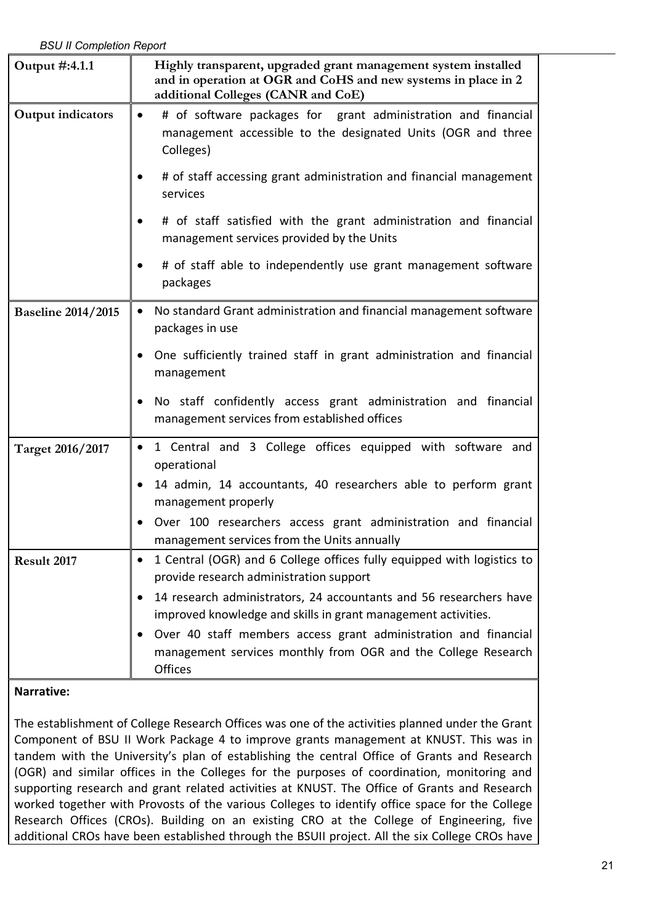| <b>BSU II Completion Report</b> |                                                                                                                                                                                                                                                                                                                                                                                                         |  |
|---------------------------------|---------------------------------------------------------------------------------------------------------------------------------------------------------------------------------------------------------------------------------------------------------------------------------------------------------------------------------------------------------------------------------------------------------|--|
| Output #:4.1.1                  | Highly transparent, upgraded grant management system installed<br>and in operation at OGR and CoHS and new systems in place in 2<br>additional Colleges (CANR and CoE)                                                                                                                                                                                                                                  |  |
| Output indicators               | # of software packages for grant administration and financial<br>$\bullet$<br>management accessible to the designated Units (OGR and three<br>Colleges)                                                                                                                                                                                                                                                 |  |
|                                 | # of staff accessing grant administration and financial management<br>services                                                                                                                                                                                                                                                                                                                          |  |
|                                 | # of staff satisfied with the grant administration and financial<br>management services provided by the Units                                                                                                                                                                                                                                                                                           |  |
|                                 | # of staff able to independently use grant management software<br>packages                                                                                                                                                                                                                                                                                                                              |  |
| <b>Baseline 2014/2015</b>       | No standard Grant administration and financial management software<br>$\bullet$<br>packages in use                                                                                                                                                                                                                                                                                                      |  |
|                                 | One sufficiently trained staff in grant administration and financial<br>management                                                                                                                                                                                                                                                                                                                      |  |
|                                 | No staff confidently access grant administration and financial<br>management services from established offices                                                                                                                                                                                                                                                                                          |  |
| Target 2016/2017                | 1 Central and 3 College offices equipped with software and<br>$\bullet$<br>operational<br>14 admin, 14 accountants, 40 researchers able to perform grant<br>management properly<br>Over 100 researchers access grant administration and financial<br>management services from the Units annually                                                                                                        |  |
| Result 2017                     | 1 Central (OGR) and 6 College offices fully equipped with logistics to<br>provide research administration support<br>14 research administrators, 24 accountants and 56 researchers have<br>improved knowledge and skills in grant management activities.<br>Over 40 staff members access grant administration and financial<br>management services monthly from OGR and the College Research<br>Offices |  |

The establishment of College Research Offices was one of the activities planned under the Grant Component of BSU II Work Package 4 to improve grants management at KNUST. This was in tandem with the University's plan of establishing the central Office of Grants and Research (OGR) and similar offices in the Colleges for the purposes of coordination, monitoring and supporting research and grant related activities at KNUST. The Office of Grants and Research worked together with Provosts of the various Colleges to identify office space for the College Research Offices (CROs). Building on an existing CRO at the College of Engineering, five additional CROs have been established through the BSUII project. All the six College CROs have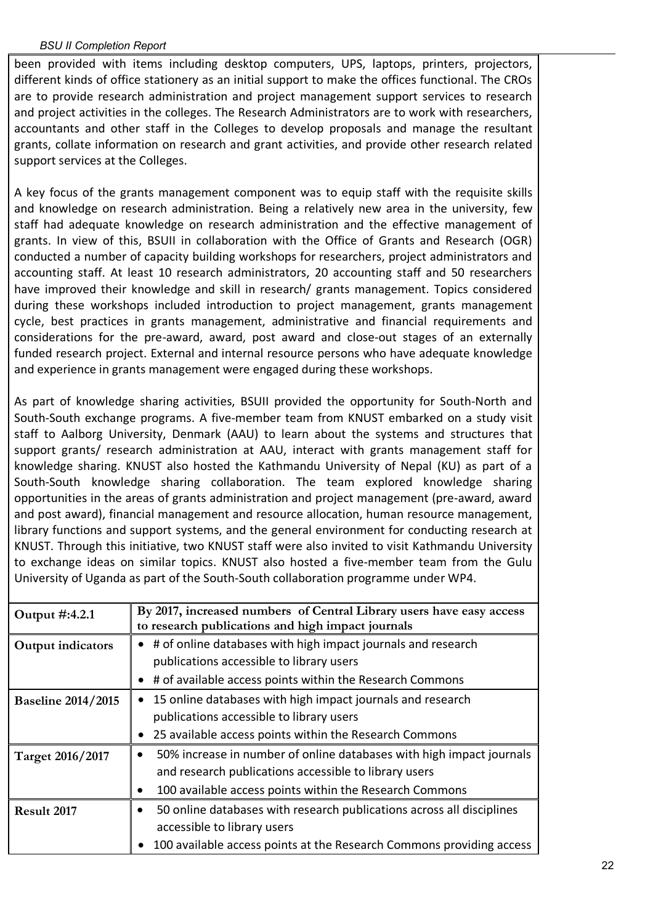been provided with items including desktop computers, UPS, laptops, printers, projectors, different kinds of office stationery as an initial support to make the offices functional. The CROs are to provide research administration and project management support services to research and project activities in the colleges. The Research Administrators are to work with researchers, accountants and other staff in the Colleges to develop proposals and manage the resultant grants, collate information on research and grant activities, and provide other research related support services at the Colleges.

A key focus of the grants management component was to equip staff with the requisite skills and knowledge on research administration. Being a relatively new area in the university, few staff had adequate knowledge on research administration and the effective management of grants. In view of this, BSUII in collaboration with the Office of Grants and Research (OGR) conducted a number of capacity building workshops for researchers, project administrators and accounting staff. At least 10 research administrators, 20 accounting staff and 50 researchers have improved their knowledge and skill in research/ grants management. Topics considered during these workshops included introduction to project management, grants management cycle, best practices in grants management, administrative and financial requirements and considerations for the pre-award, award, post award and close-out stages of an externally funded research project. External and internal resource persons who have adequate knowledge and experience in grants management were engaged during these workshops.

As part of knowledge sharing activities, BSUII provided the opportunity for South-North and South-South exchange programs. A five-member team from KNUST embarked on a study visit staff to Aalborg University, Denmark (AAU) to learn about the systems and structures that support grants/ research administration at AAU, interact with grants management staff for knowledge sharing. KNUST also hosted the Kathmandu University of Nepal (KU) as part of a South-South knowledge sharing collaboration. The team explored knowledge sharing opportunities in the areas of grants administration and project management (pre-award, award and post award), financial management and resource allocation, human resource management, library functions and support systems, and the general environment for conducting research at KNUST. Through this initiative, two KNUST staff were also invited to visit Kathmandu University to exchange ideas on similar topics. KNUST also hosted a five-member team from the Gulu University of Uganda as part of the South-South collaboration programme under WP4.

| Output #:4.2.1            | By 2017, increased numbers of Central Library users have easy access<br>to research publications and high impact journals |
|---------------------------|---------------------------------------------------------------------------------------------------------------------------|
| Output indicators         | # of online databases with high impact journals and research                                                              |
|                           | publications accessible to library users                                                                                  |
|                           | # of available access points within the Research Commons                                                                  |
| <b>Baseline 2014/2015</b> | 15 online databases with high impact journals and research                                                                |
|                           | publications accessible to library users                                                                                  |
|                           | 25 available access points within the Research Commons                                                                    |
| Target 2016/2017          | 50% increase in number of online databases with high impact journals                                                      |
|                           | and research publications accessible to library users                                                                     |
|                           | 100 available access points within the Research Commons                                                                   |
| Result 2017               | 50 online databases with research publications across all disciplines                                                     |
|                           | accessible to library users                                                                                               |
|                           | 100 available access points at the Research Commons providing access                                                      |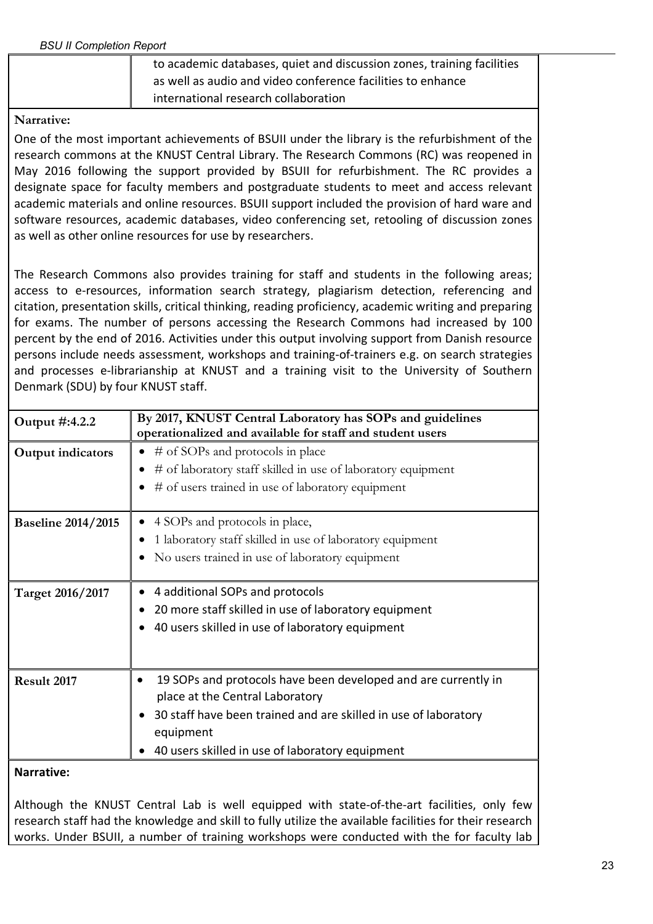| to academic databases, quiet and discussion zones, training facilities |
|------------------------------------------------------------------------|
| as well as audio and video conference facilities to enhance            |
| international research collaboration                                   |

One of the most important achievements of BSUII under the library is the refurbishment of the research commons at the KNUST Central Library. The Research Commons (RC) was reopened in May 2016 following the support provided by BSUII for refurbishment. The RC provides a designate space for faculty members and postgraduate students to meet and access relevant academic materials and online resources. BSUII support included the provision of hard ware and software resources, academic databases, video conferencing set, retooling of discussion zones as well as other online resources for use by researchers.

The Research Commons also provides training for staff and students in the following areas; access to e-resources, information search strategy, plagiarism detection, referencing and citation, presentation skills, critical thinking, reading proficiency, academic writing and preparing for exams. The number of persons accessing the Research Commons had increased by 100 percent by the end of 2016. Activities under this output involving support from Danish resource persons include needs assessment, workshops and training-of-trainers e.g. on search strategies and processes e-librarianship at KNUST and a training visit to the University of Southern Denmark (SDU) by four KNUST staff.

| Output #:4.2.2            | By 2017, KNUST Central Laboratory has SOPs and guidelines<br>operationalized and available for staff and student users                                                                                                               |
|---------------------------|--------------------------------------------------------------------------------------------------------------------------------------------------------------------------------------------------------------------------------------|
| Output indicators         | # of SOPs and protocols in place<br>$\bullet$<br># of laboratory staff skilled in use of laboratory equipment<br># of users trained in use of laboratory equipment                                                                   |
| <b>Baseline 2014/2015</b> | 4 SOPs and protocols in place,<br>1 laboratory staff skilled in use of laboratory equipment<br>No users trained in use of laboratory equipment                                                                                       |
| Target 2016/2017          | 4 additional SOPs and protocols<br>20 more staff skilled in use of laboratory equipment<br>40 users skilled in use of laboratory equipment                                                                                           |
| Result 2017               | 19 SOPs and protocols have been developed and are currently in<br>place at the Central Laboratory<br>30 staff have been trained and are skilled in use of laboratory<br>equipment<br>40 users skilled in use of laboratory equipment |
| <b>Narrative:</b>         |                                                                                                                                                                                                                                      |

Although the KNUST Central Lab is well equipped with state-of-the-art facilities, only few research staff had the knowledge and skill to fully utilize the available facilities for their research works. Under BSUII, a number of training workshops were conducted with the for faculty lab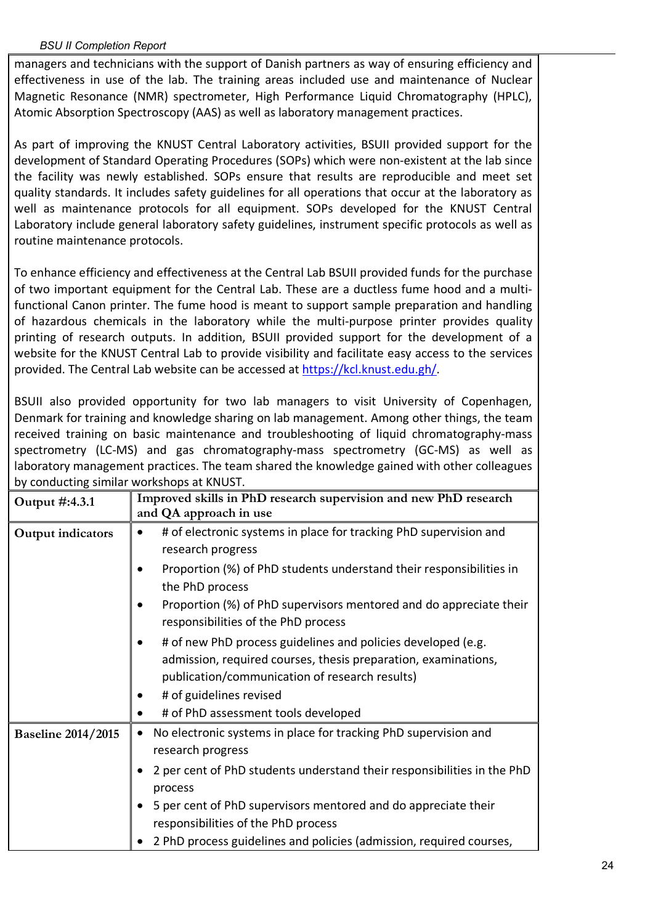managers and technicians with the support of Danish partners as way of ensuring efficiency and effectiveness in use of the lab. The training areas included use and maintenance of Nuclear Magnetic Resonance (NMR) spectrometer, High Performance Liquid Chromatography (HPLC), Atomic Absorption Spectroscopy (AAS) as well as laboratory management practices.

As part of improving the KNUST Central Laboratory activities, BSUII provided support for the development of Standard Operating Procedures (SOPs) which were non-existent at the lab since the facility was newly established. SOPs ensure that results are reproducible and meet set quality standards. It includes safety guidelines for all operations that occur at the laboratory as well as maintenance protocols for all equipment. SOPs developed for the KNUST Central Laboratory include general laboratory safety guidelines, instrument specific protocols as well as routine maintenance protocols.

To enhance efficiency and effectiveness at the Central Lab BSUII provided funds for the purchase of two important equipment for the Central Lab. These are a ductless fume hood and a multifunctional Canon printer. The fume hood is meant to support sample preparation and handling of hazardous chemicals in the laboratory while the multi-purpose printer provides quality printing of research outputs. In addition, BSUII provided support for the development of a website for the KNUST Central Lab to provide visibility and facilitate easy access to the services provided. The Central Lab website can be accessed at https://kcl.knust.edu.gh/.

BSUII also provided opportunity for two lab managers to visit University of Copenhagen, Denmark for training and knowledge sharing on lab management. Among other things, the team received training on basic maintenance and troubleshooting of liquid chromatography-mass spectrometry (LC-MS) and gas chromatography-mass spectrometry (GC-MS) as well as laboratory management practices. The team shared the knowledge gained with other colleagues by conducting similar workshops at KNUST.

| Output #:4.3.1            | Improved skills in PhD research supervision and new PhD research                                                                                                                                            |
|---------------------------|-------------------------------------------------------------------------------------------------------------------------------------------------------------------------------------------------------------|
|                           | and QA approach in use                                                                                                                                                                                      |
| Output indicators         | # of electronic systems in place for tracking PhD supervision and<br>research progress                                                                                                                      |
|                           | Proportion (%) of PhD students understand their responsibilities in<br>the PhD process                                                                                                                      |
|                           | Proportion (%) of PhD supervisors mentored and do appreciate their<br>responsibilities of the PhD process                                                                                                   |
|                           | # of new PhD process guidelines and policies developed (e.g.<br>admission, required courses, thesis preparation, examinations,<br>publication/communication of research results)<br># of guidelines revised |
|                           | # of PhD assessment tools developed                                                                                                                                                                         |
| <b>Baseline 2014/2015</b> | No electronic systems in place for tracking PhD supervision and<br>$\bullet$<br>research progress                                                                                                           |
|                           | 2 per cent of PhD students understand their responsibilities in the PhD<br>process                                                                                                                          |
|                           | 5 per cent of PhD supervisors mentored and do appreciate their<br>responsibilities of the PhD process                                                                                                       |
|                           | 2 PhD process guidelines and policies (admission, required courses,                                                                                                                                         |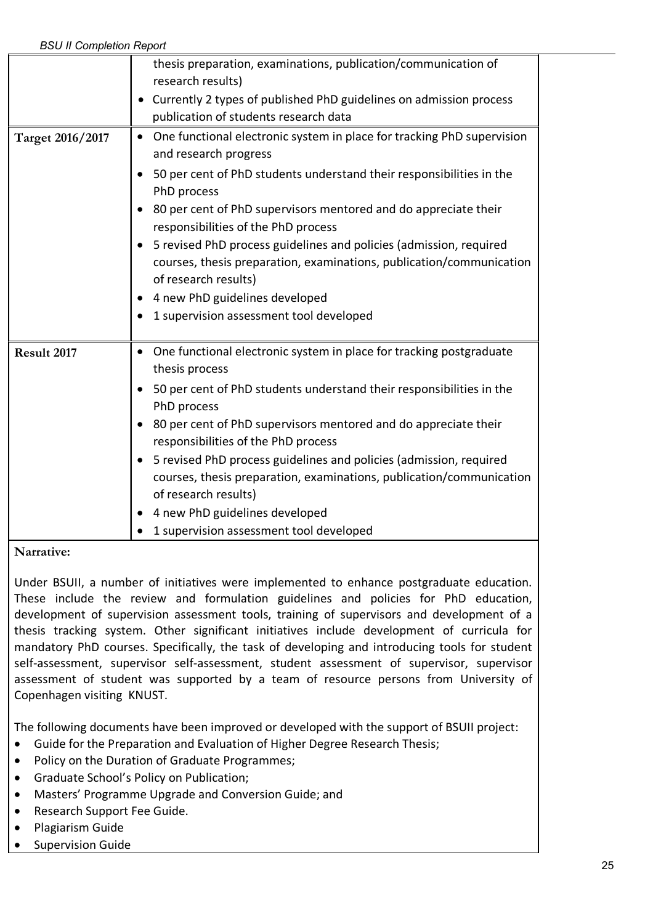|                  | thesis preparation, examinations, publication/communication of<br>research results)<br>Currently 2 types of published PhD guidelines on admission process<br>publication of students research data                                                                                                                                                                                                                                                                                                                                                  |
|------------------|-----------------------------------------------------------------------------------------------------------------------------------------------------------------------------------------------------------------------------------------------------------------------------------------------------------------------------------------------------------------------------------------------------------------------------------------------------------------------------------------------------------------------------------------------------|
| Target 2016/2017 | One functional electronic system in place for tracking PhD supervision<br>and research progress<br>50 per cent of PhD students understand their responsibilities in the<br>PhD process<br>80 per cent of PhD supervisors mentored and do appreciate their<br>responsibilities of the PhD process<br>5 revised PhD process guidelines and policies (admission, required<br>courses, thesis preparation, examinations, publication/communication<br>of research results)<br>4 new PhD guidelines developed<br>1 supervision assessment tool developed |
| Result 2017      | One functional electronic system in place for tracking postgraduate<br>thesis process<br>50 per cent of PhD students understand their responsibilities in the<br>PhD process<br>80 per cent of PhD supervisors mentored and do appreciate their<br>responsibilities of the PhD process<br>5 revised PhD process guidelines and policies (admission, required<br>courses, thesis preparation, examinations, publication/communication<br>of research results)<br>4 new PhD guidelines developed<br>1 supervision assessment tool developed           |

Under BSUII, a number of initiatives were implemented to enhance postgraduate education. These include the review and formulation guidelines and policies for PhD education, development of supervision assessment tools, training of supervisors and development of a thesis tracking system. Other significant initiatives include development of curricula for mandatory PhD courses. Specifically, the task of developing and introducing tools for student self-assessment, supervisor self-assessment, student assessment of supervisor, supervisor assessment of student was supported by a team of resource persons from University of Copenhagen visiting KNUST.

The following documents have been improved or developed with the support of BSUII project:

- Guide for the Preparation and Evaluation of Higher Degree Research Thesis;
- Policy on the Duration of Graduate Programmes;
- Graduate School's Policy on Publication;
- Masters' Programme Upgrade and Conversion Guide; and
- Research Support Fee Guide.
- Plagiarism Guide
- Supervision Guide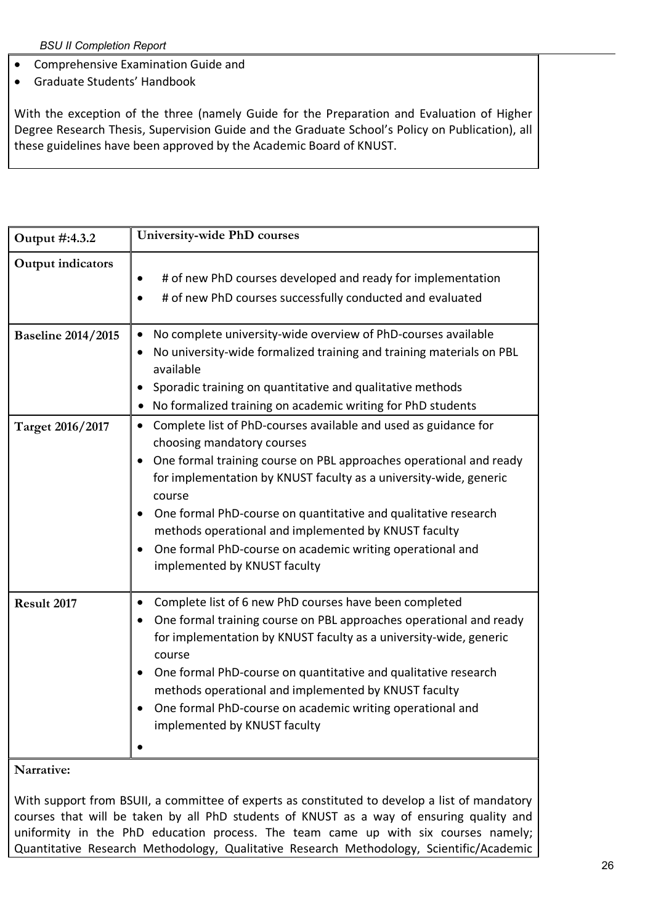- Comprehensive Examination Guide and
- Graduate Students' Handbook

With the exception of the three (namely Guide for the Preparation and Evaluation of Higher Degree Research Thesis, Supervision Guide and the Graduate School's Policy on Publication), all these guidelines have been approved by the Academic Board of KNUST.

| Output #:4.3.2                    | University-wide PhD courses                                                                                                                                                                                                                                                                                                                                                                                                                                                            |
|-----------------------------------|----------------------------------------------------------------------------------------------------------------------------------------------------------------------------------------------------------------------------------------------------------------------------------------------------------------------------------------------------------------------------------------------------------------------------------------------------------------------------------------|
| <b>Output indicators</b>          | # of new PhD courses developed and ready for implementation<br># of new PhD courses successfully conducted and evaluated                                                                                                                                                                                                                                                                                                                                                               |
| <b>Baseline 2014/2015</b>         | No complete university-wide overview of PhD-courses available<br>$\bullet$<br>No university-wide formalized training and training materials on PBL<br>available<br>Sporadic training on quantitative and qualitative methods<br>No formalized training on academic writing for PhD students                                                                                                                                                                                            |
| Target 2016/2017                  | Complete list of PhD-courses available and used as guidance for<br>$\bullet$<br>choosing mandatory courses<br>One formal training course on PBL approaches operational and ready<br>for implementation by KNUST faculty as a university-wide, generic<br>course<br>One formal PhD-course on quantitative and qualitative research<br>methods operational and implemented by KNUST faculty<br>One formal PhD-course on academic writing operational and<br>implemented by KNUST faculty |
| Result 2017<br>$N$ <i>amativo</i> | Complete list of 6 new PhD courses have been completed<br>٠<br>One formal training course on PBL approaches operational and ready<br>for implementation by KNUST faculty as a university-wide, generic<br>course<br>One formal PhD-course on quantitative and qualitative research<br>methods operational and implemented by KNUST faculty<br>One formal PhD-course on academic writing operational and<br>implemented by KNUST faculty                                                |

**Narrative:**

With support from BSUII, a committee of experts as constituted to develop a list of mandatory courses that will be taken by all PhD students of KNUST as a way of ensuring quality and uniformity in the PhD education process. The team came up with six courses namely; Quantitative Research Methodology, Qualitative Research Methodology, Scientific/Academic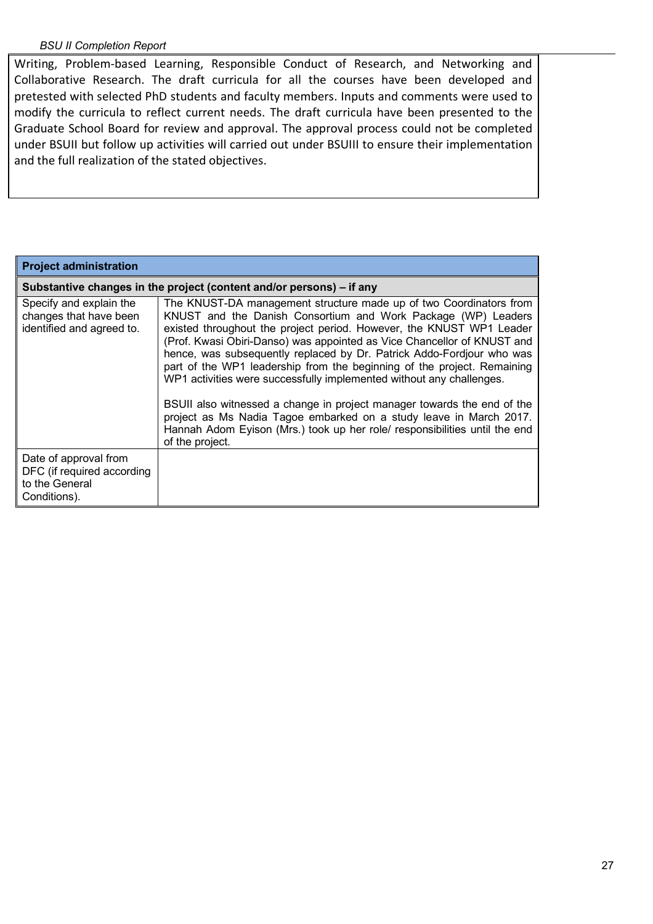Writing, Problem-based Learning, Responsible Conduct of Research, and Networking and Collaborative Research. The draft curricula for all the courses have been developed and pretested with selected PhD students and faculty members. Inputs and comments were used to modify the curricula to reflect current needs. The draft curricula have been presented to the Graduate School Board for review and approval. The approval process could not be completed under BSUII but follow up activities will carried out under BSUIII to ensure their implementation and the full realization of the stated objectives.

| <b>Project administration</b>                                                         |                                                                                                                                                                                                                                                                                                                                                                                                                                                                                                                    |  |
|---------------------------------------------------------------------------------------|--------------------------------------------------------------------------------------------------------------------------------------------------------------------------------------------------------------------------------------------------------------------------------------------------------------------------------------------------------------------------------------------------------------------------------------------------------------------------------------------------------------------|--|
| Substantive changes in the project (content and/or persons) - if any                  |                                                                                                                                                                                                                                                                                                                                                                                                                                                                                                                    |  |
| Specify and explain the<br>changes that have been<br>identified and agreed to.        | The KNUST-DA management structure made up of two Coordinators from<br>KNUST and the Danish Consortium and Work Package (WP) Leaders<br>existed throughout the project period. However, the KNUST WP1 Leader<br>(Prof. Kwasi Obiri-Danso) was appointed as Vice Chancellor of KNUST and<br>hence, was subsequently replaced by Dr. Patrick Addo-Fordjour who was<br>part of the WP1 leadership from the beginning of the project. Remaining<br>WP1 activities were successfully implemented without any challenges. |  |
|                                                                                       | BSUII also witnessed a change in project manager towards the end of the<br>project as Ms Nadia Tagoe embarked on a study leave in March 2017.<br>Hannah Adom Eyison (Mrs.) took up her role/ responsibilities until the end<br>of the project.                                                                                                                                                                                                                                                                     |  |
| Date of approval from<br>DFC (if required according<br>to the General<br>Conditions). |                                                                                                                                                                                                                                                                                                                                                                                                                                                                                                                    |  |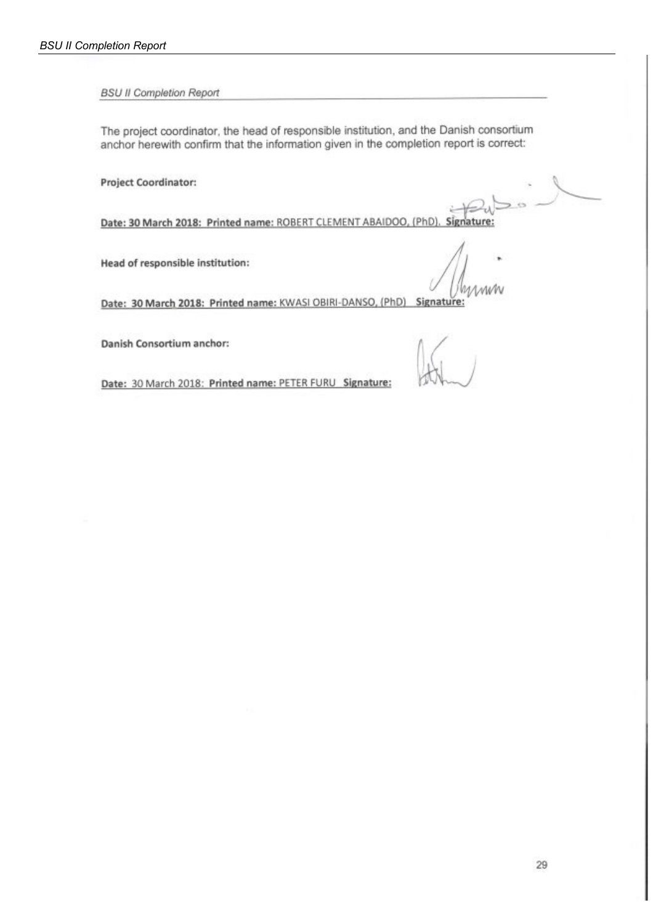The project coordinator, the head of responsible institution, and the Danish consortium anchor herewith confirm that the information given in the completion report is correct:

Project Coordinator:

Date: 30 March 2018: Printed name: ROBERT CLEMENT ABAIDOO,  $(PhD)$ Signature:

Head of responsible institution:

Date: 30 March 2018: Printed name: KWASI OBIRI-DANSO, (PhD) Signature:

Danish Consortium anchor:

Ø.

Date: 30 March 2018: Printed name: PETER FURU Signature: